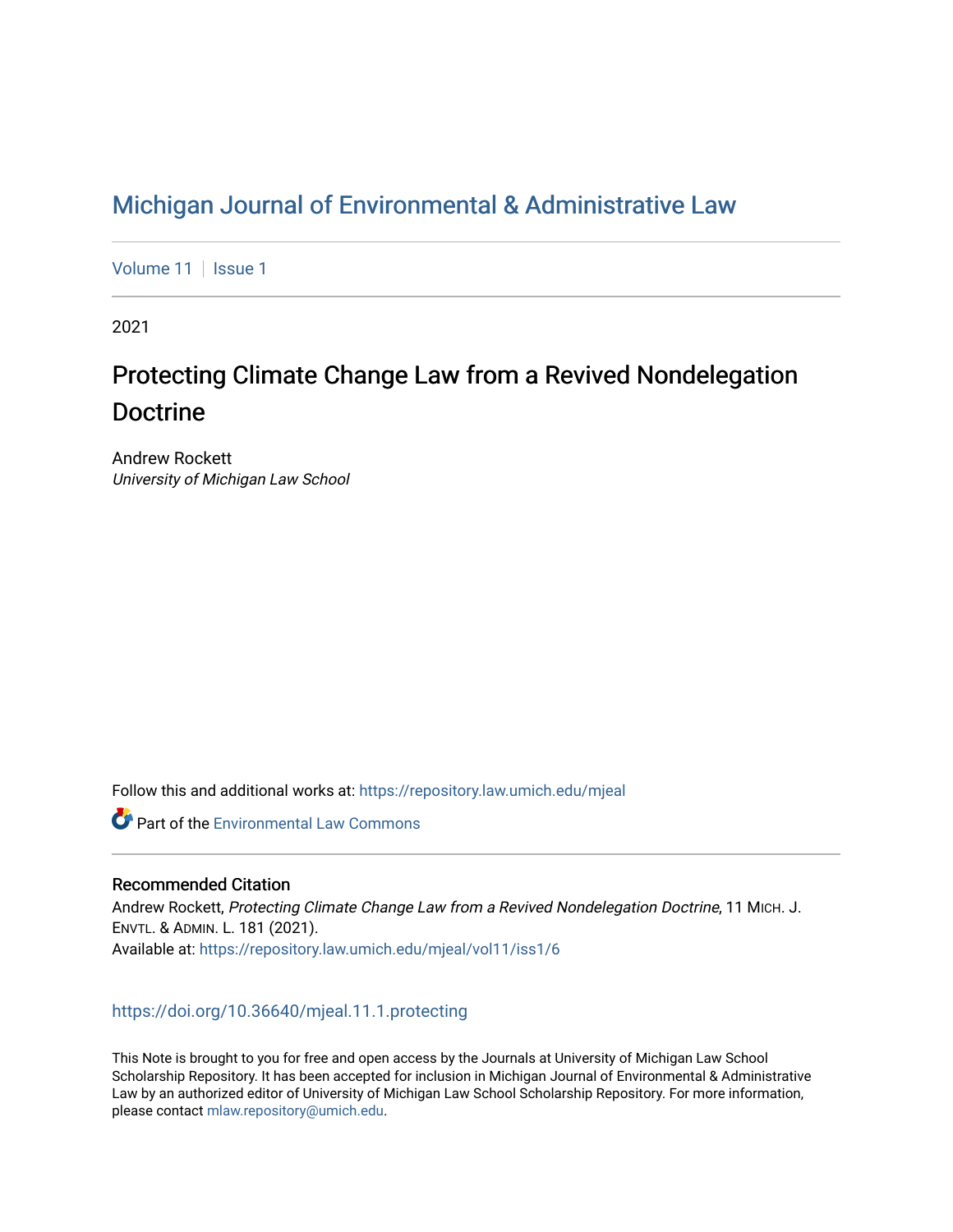# [Michigan Journal of Environmental & Administrative Law](https://repository.law.umich.edu/mjeal)

[Volume 11](https://repository.law.umich.edu/mjeal/vol11) | [Issue 1](https://repository.law.umich.edu/mjeal/vol11/iss1)

2021

# Protecting Climate Change Law from a Revived Nondelegation Doctrine

Andrew Rockett University of Michigan Law School

Follow this and additional works at: [https://repository.law.umich.edu/mjeal](https://repository.law.umich.edu/mjeal?utm_source=repository.law.umich.edu%2Fmjeal%2Fvol11%2Fiss1%2F6&utm_medium=PDF&utm_campaign=PDFCoverPages)

**C** Part of the [Environmental Law Commons](http://network.bepress.com/hgg/discipline/599?utm_source=repository.law.umich.edu%2Fmjeal%2Fvol11%2Fiss1%2F6&utm_medium=PDF&utm_campaign=PDFCoverPages)

# Recommended Citation

Andrew Rockett, Protecting Climate Change Law from a Revived Nondelegation Doctrine, 11 MICH. J. ENVTL. & ADMIN. L. 181 (2021). Available at: [https://repository.law.umich.edu/mjeal/vol11/iss1/6](https://repository.law.umich.edu/mjeal/vol11/iss1/6?utm_source=repository.law.umich.edu%2Fmjeal%2Fvol11%2Fiss1%2F6&utm_medium=PDF&utm_campaign=PDFCoverPages)

# <https://doi.org/10.36640/mjeal.11.1.protecting>

This Note is brought to you for free and open access by the Journals at University of Michigan Law School Scholarship Repository. It has been accepted for inclusion in Michigan Journal of Environmental & Administrative Law by an authorized editor of University of Michigan Law School Scholarship Repository. For more information, please contact [mlaw.repository@umich.edu.](mailto:mlaw.repository@umich.edu)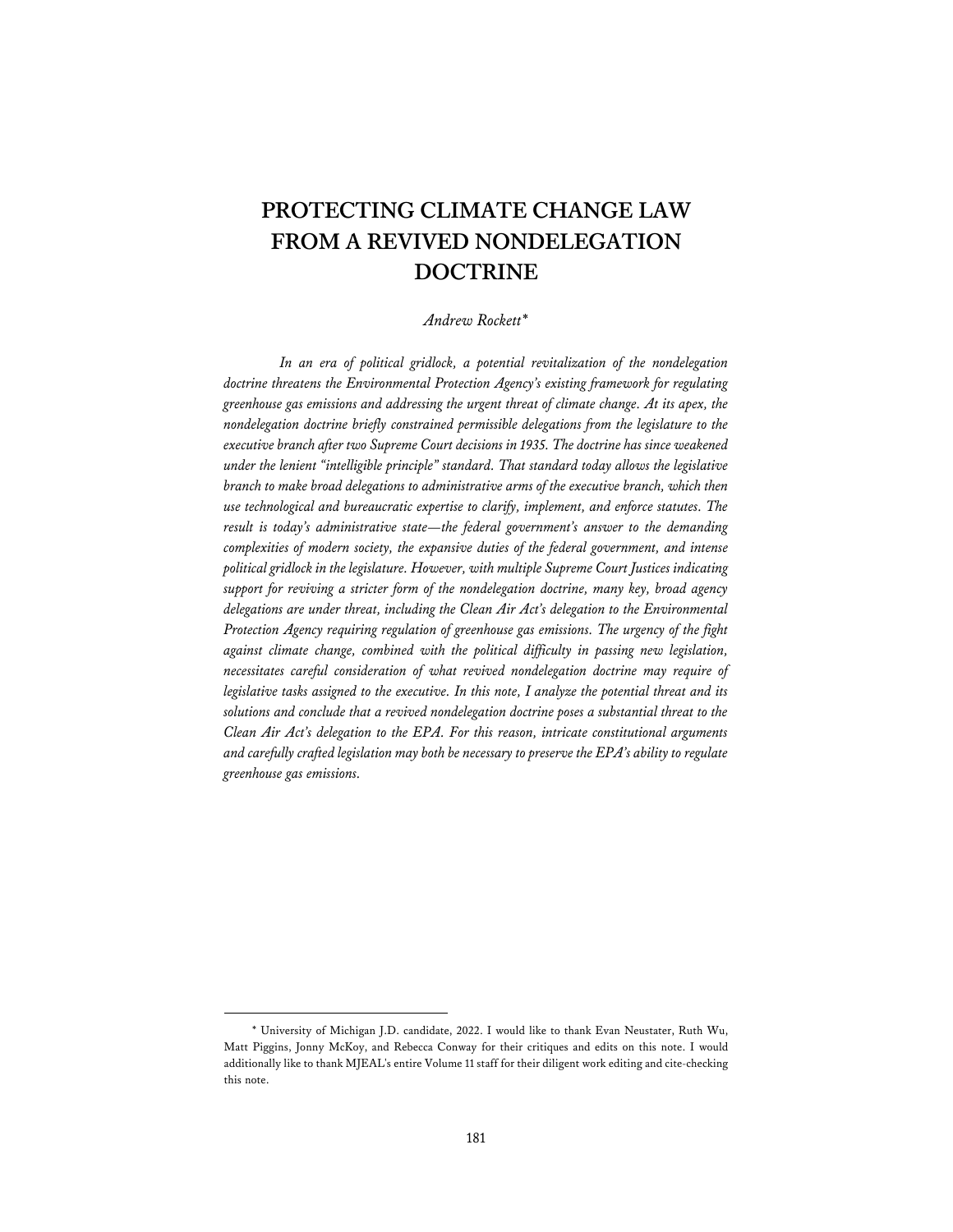# **PROTECTING CLIMATE CHANGE LAW FROM A REVIVED NONDELEGATION DOCTRINE**

#### *Andrew Rockett\**

*In an era of political gridlock, a potential revitalization of the nondelegation doctrine threatens the Environmental Protection Agency's existing framework for regulating greenhouse gas emissions and addressing the urgent threat of climate change. At its apex, the nondelegation doctrine briefly constrained permissible delegations from the legislature to the executive branch after two Supreme Court decisions in 1935. The doctrine has since weakened under the lenient "intelligible principle" standard. That standard today allows the legislative branch to make broad delegations to administrative arms of the executive branch, which then use technological and bureaucratic expertise to clarify, implement, and enforce statutes. The result is today's administrative state—the federal government's answer to the demanding complexities of modern society, the expansive duties of the federal government, and intense political gridlock in the legislature. However, with multiple Supreme Court Justices indicating support for reviving a stricter form of the nondelegation doctrine, many key, broad agency delegations are under threat, including the Clean Air Act's delegation to the Environmental Protection Agency requiring regulation of greenhouse gas emissions. The urgency of the fight against climate change, combined with the political difficulty in passing new legislation, necessitates careful consideration of what revived nondelegation doctrine may require of legislative tasks assigned to the executive. In this note, I analyze the potential threat and its solutions and conclude that a revived nondelegation doctrine poses a substantial threat to the Clean Air Act's delegation to the EPA. For this reason, intricate constitutional arguments and carefully crafted legislation may both be necessary to preserve the EPA's ability to regulate greenhouse gas emissions.* 

<sup>\*</sup> University of Michigan J.D. candidate, 2022. I would like to thank Evan Neustater, Ruth Wu, Matt Piggins, Jonny McKoy, and Rebecca Conway for their critiques and edits on this note. I would additionally like to thank MJEAL's entire Volume 11 staff for their diligent work editing and cite-checking this note.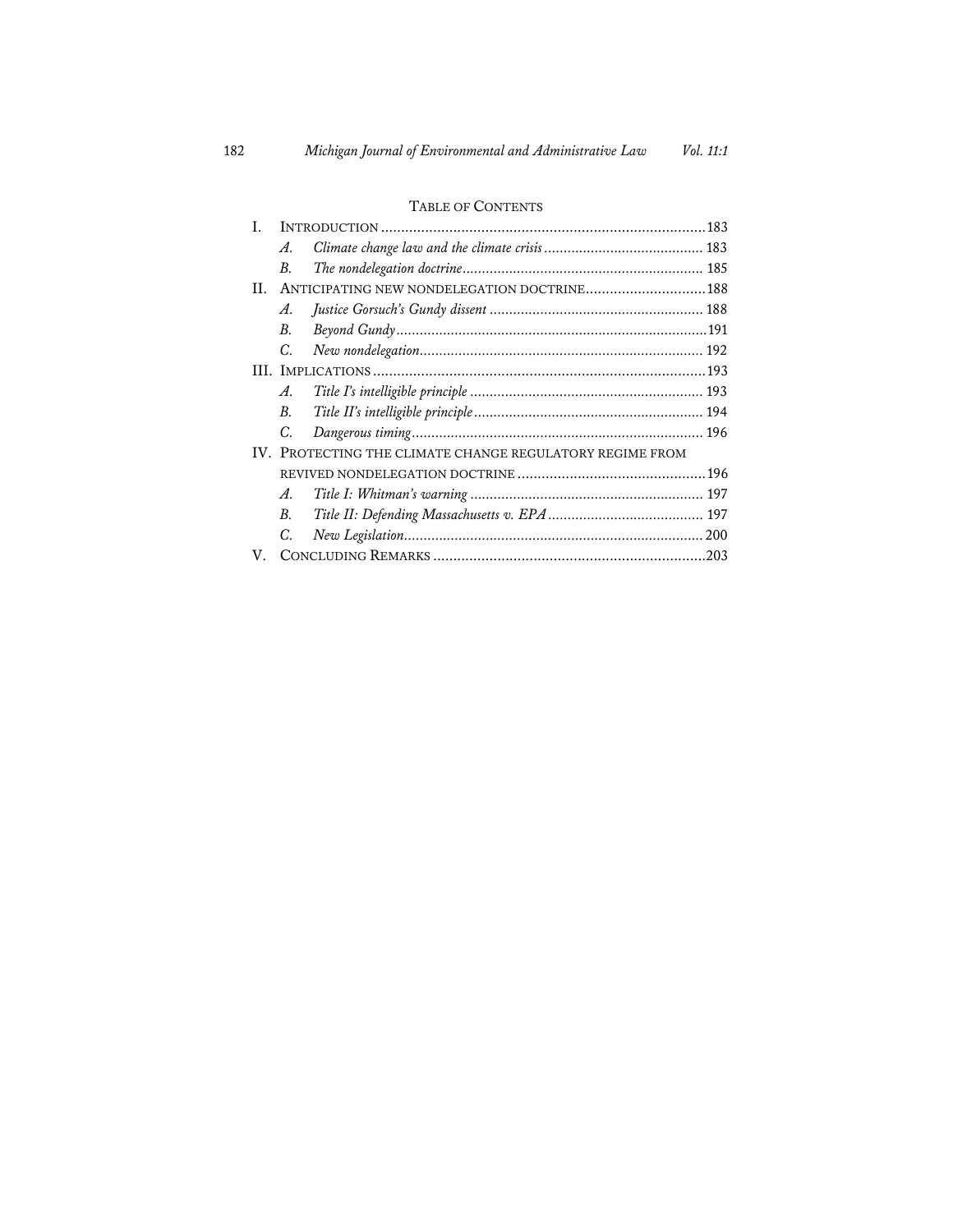# TABLE OF CONTENTS

| L                                                        |                                             |  |
|----------------------------------------------------------|---------------------------------------------|--|
|                                                          | A.                                          |  |
|                                                          | В.                                          |  |
| H.                                                       | ANTICIPATING NEW NONDELEGATION DOCTRINE 188 |  |
|                                                          | A.                                          |  |
|                                                          | В.                                          |  |
|                                                          | C.                                          |  |
|                                                          |                                             |  |
|                                                          | A.                                          |  |
|                                                          | В.                                          |  |
|                                                          | C.                                          |  |
| IV. PROTECTING THE CLIMATE CHANGE REGULATORY REGIME FROM |                                             |  |
|                                                          |                                             |  |
|                                                          | A.                                          |  |
|                                                          | В.                                          |  |
|                                                          | C.                                          |  |
| V.                                                       |                                             |  |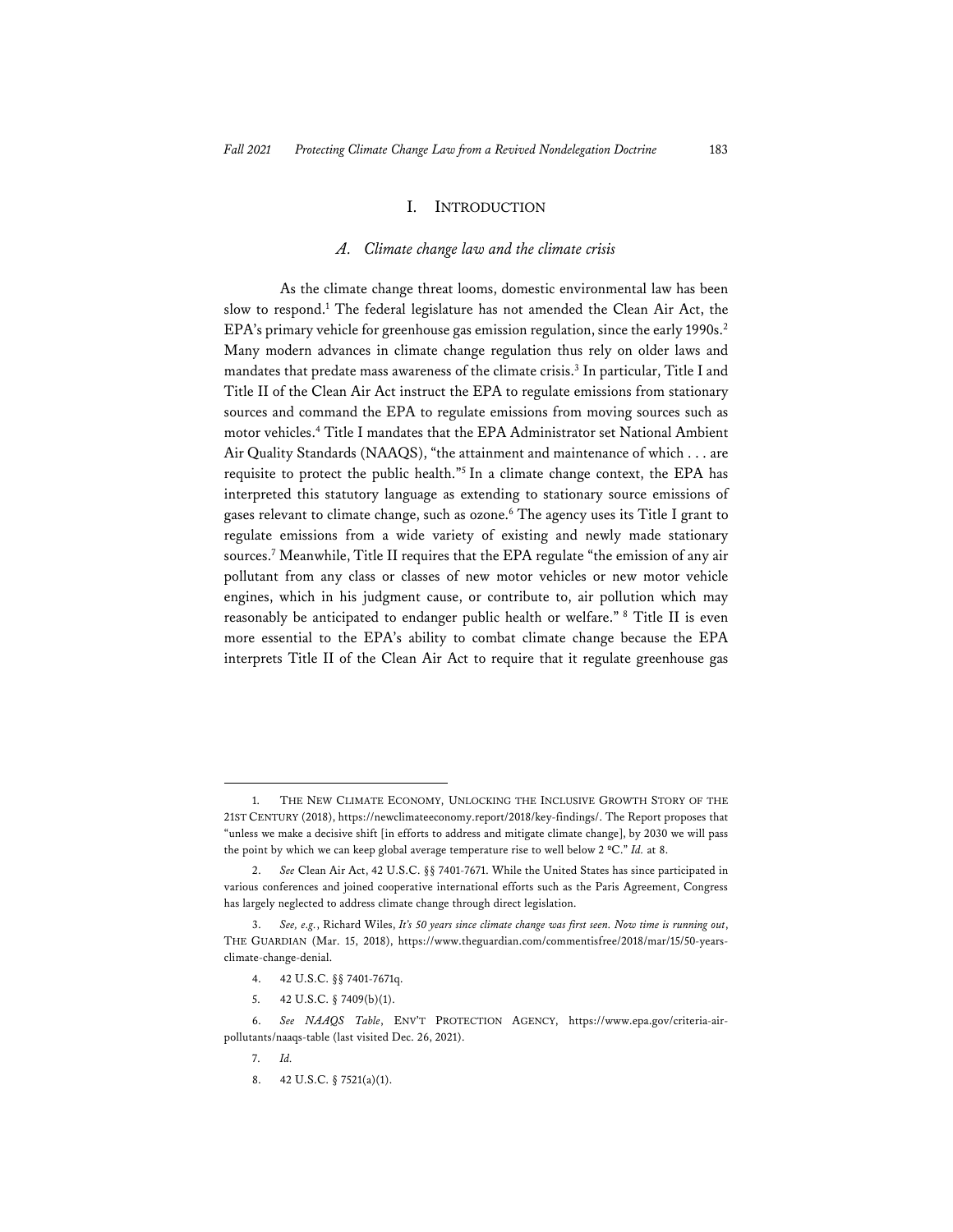#### I. INTRODUCTION

#### *A. Climate change law and the climate crisis*

As the climate change threat looms, domestic environmental law has been slow to respond.1 The federal legislature has not amended the Clean Air Act, the EPA's primary vehicle for greenhouse gas emission regulation, since the early 1990s.<sup>2</sup> Many modern advances in climate change regulation thus rely on older laws and mandates that predate mass awareness of the climate crisis.<sup>3</sup> In particular, Title I and Title II of the Clean Air Act instruct the EPA to regulate emissions from stationary sources and command the EPA to regulate emissions from moving sources such as motor vehicles.4 Title I mandates that the EPA Administrator set National Ambient Air Quality Standards (NAAQS), "the attainment and maintenance of which . . . are requisite to protect the public health."5 In a climate change context, the EPA has interpreted this statutory language as extending to stationary source emissions of gases relevant to climate change, such as ozone.6 The agency uses its Title I grant to regulate emissions from a wide variety of existing and newly made stationary sources.7 Meanwhile, Title II requires that the EPA regulate "the emission of any air pollutant from any class or classes of new motor vehicles or new motor vehicle engines, which in his judgment cause, or contribute to, air pollution which may reasonably be anticipated to endanger public health or welfare." 8 Title II is even more essential to the EPA's ability to combat climate change because the EPA interprets Title II of the Clean Air Act to require that it regulate greenhouse gas

5. 42 U.S.C. § 7409(b)(1).

<sup>1.</sup> THE NEW CLIMATE ECONOMY, UNLOCKING THE INCLUSIVE GROWTH STORY OF THE 21ST CENTURY (2018), https://newclimateeconomy.report/2018/key-findings/. The Report proposes that "unless we make a decisive shift [in efforts to address and mitigate climate change], by 2030 we will pass the point by which we can keep global average temperature rise to well below 2 ºC." *Id.* at 8.

<sup>2.</sup> *See* Clean Air Act, 42 U.S.C. §§ 7401-7671. While the United States has since participated in various conferences and joined cooperative international efforts such as the Paris Agreement, Congress has largely neglected to address climate change through direct legislation.

<sup>3.</sup> *See, e.g.*, Richard Wiles, *It's 50 years since climate change was first seen. Now time is running out*, THE GUARDIAN (Mar. 15, 2018), https://www.theguardian.com/commentisfree/2018/mar/15/50-yearsclimate-change-denial.

<sup>4. 42</sup> U.S.C. §§ 7401-7671q.

<sup>6.</sup> *See NAAQS Table*, ENV'T PROTECTION AGENCY, https://www.epa.gov/criteria-airpollutants/naaqs-table (last visited Dec. 26, 2021).

<sup>7.</sup> *Id.*

<sup>8. 42</sup> U.S.C. § 7521(a)(1).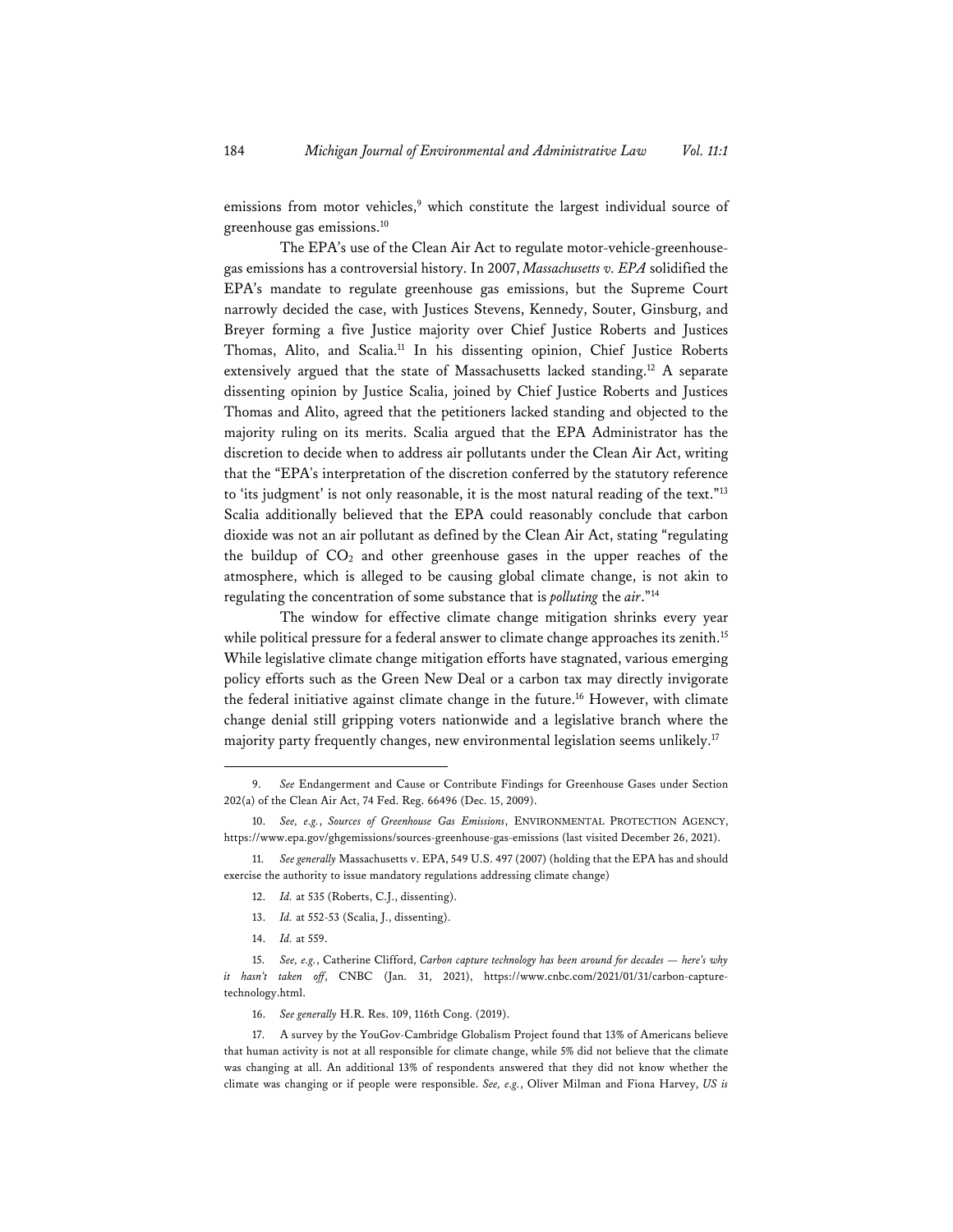emissions from motor vehicles,<sup>9</sup> which constitute the largest individual source of greenhouse gas emissions.10

The EPA's use of the Clean Air Act to regulate motor-vehicle-greenhousegas emissions has a controversial history. In 2007, *Massachusetts v. EPA* solidified the EPA's mandate to regulate greenhouse gas emissions, but the Supreme Court narrowly decided the case, with Justices Stevens, Kennedy, Souter, Ginsburg, and Breyer forming a five Justice majority over Chief Justice Roberts and Justices Thomas, Alito, and Scalia.<sup>11</sup> In his dissenting opinion, Chief Justice Roberts extensively argued that the state of Massachusetts lacked standing.12 A separate dissenting opinion by Justice Scalia, joined by Chief Justice Roberts and Justices Thomas and Alito, agreed that the petitioners lacked standing and objected to the majority ruling on its merits. Scalia argued that the EPA Administrator has the discretion to decide when to address air pollutants under the Clean Air Act, writing that the "EPA's interpretation of the discretion conferred by the statutory reference to 'its judgment' is not only reasonable, it is the most natural reading of the text."13 Scalia additionally believed that the EPA could reasonably conclude that carbon dioxide was not an air pollutant as defined by the Clean Air Act, stating "regulating the buildup of  $CO<sub>2</sub>$  and other greenhouse gases in the upper reaches of the atmosphere, which is alleged to be causing global climate change, is not akin to regulating the concentration of some substance that is *polluting* the *air*."14

The window for effective climate change mitigation shrinks every year while political pressure for a federal answer to climate change approaches its zenith.<sup>15</sup> While legislative climate change mitigation efforts have stagnated, various emerging policy efforts such as the Green New Deal or a carbon tax may directly invigorate the federal initiative against climate change in the future.<sup>16</sup> However, with climate change denial still gripping voters nationwide and a legislative branch where the majority party frequently changes, new environmental legislation seems unlikely.<sup>17</sup>

11. *See generally* Massachusetts v. EPA, 549 U.S. 497 (2007) (holding that the EPA has and should exercise the authority to issue mandatory regulations addressing climate change)

- 12. *Id.* at 535 (Roberts, C.J., dissenting).
- 13. *Id.* at 552-53 (Scalia, J., dissenting).
- 14. *Id.* at 559.

16. *See generally* H.R. Res. 109, 116th Cong. (2019).

17. A survey by the YouGov-Cambridge Globalism Project found that 13% of Americans believe that human activity is not at all responsible for climate change, while 5% did not believe that the climate was changing at all. An additional 13% of respondents answered that they did not know whether the climate was changing or if people were responsible. *See, e.g.*, Oliver Milman and Fiona Harvey, *US is* 

<sup>9.</sup> *See* Endangerment and Cause or Contribute Findings for Greenhouse Gases under Section 202(a) of the Clean Air Act, 74 Fed. Reg. 66496 (Dec. 15, 2009).

<sup>10.</sup> *See, e.g.*, *Sources of Greenhouse Gas Emissions*, ENVIRONMENTAL PROTECTION AGENCY, https://www.epa.gov/ghgemissions/sources-greenhouse-gas-emissions (last visited December 26, 2021).

<sup>15.</sup> *See, e.g.*, Catherine Clifford, *Carbon capture technology has been around for decades — here's why it hasn't taken off*, CNBC (Jan. 31, 2021), https://www.cnbc.com/2021/01/31/carbon-capturetechnology.html.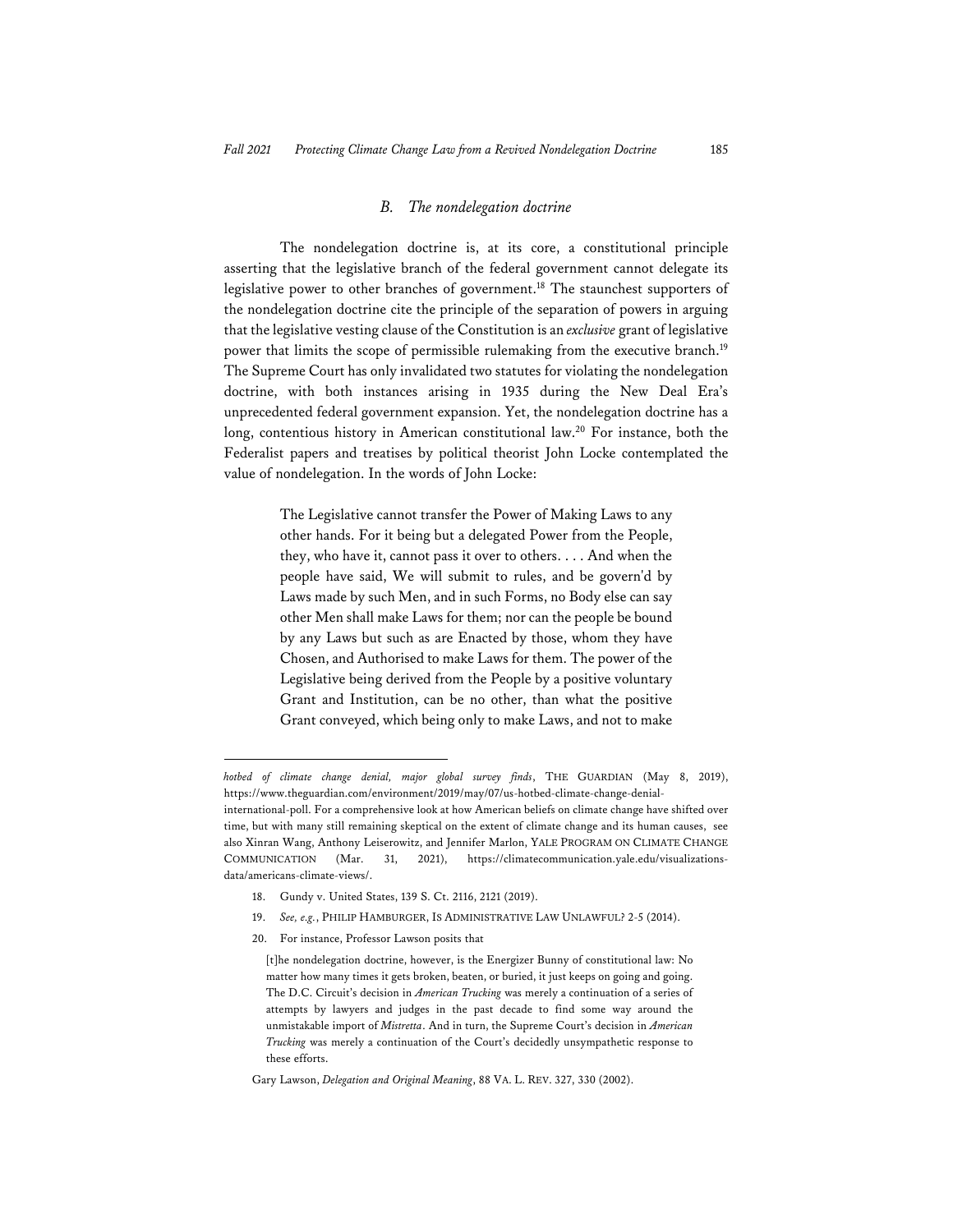#### *B. The nondelegation doctrine*

The nondelegation doctrine is, at its core, a constitutional principle asserting that the legislative branch of the federal government cannot delegate its legislative power to other branches of government.<sup>18</sup> The staunchest supporters of the nondelegation doctrine cite the principle of the separation of powers in arguing that the legislative vesting clause of the Constitution is an *exclusive* grant of legislative power that limits the scope of permissible rulemaking from the executive branch.<sup>19</sup> The Supreme Court has only invalidated two statutes for violating the nondelegation doctrine, with both instances arising in 1935 during the New Deal Era's unprecedented federal government expansion. Yet, the nondelegation doctrine has a long, contentious history in American constitutional law.<sup>20</sup> For instance, both the Federalist papers and treatises by political theorist John Locke contemplated the value of nondelegation. In the words of John Locke:

> The Legislative cannot transfer the Power of Making Laws to any other hands. For it being but a delegated Power from the People, they, who have it, cannot pass it over to others. . . . And when the people have said, We will submit to rules, and be govern'd by Laws made by such Men, and in such Forms, no Body else can say other Men shall make Laws for them; nor can the people be bound by any Laws but such as are Enacted by those, whom they have Chosen, and Authorised to make Laws for them. The power of the Legislative being derived from the People by a positive voluntary Grant and Institution, can be no other, than what the positive Grant conveyed, which being only to make Laws, and not to make

- 18. Gundy v. United States, 139 S. Ct. 2116, 2121 (2019).
- 19. *See, e.g.*, PHILIP HAMBURGER, IS ADMINISTRATIVE LAW UNLAWFUL? 2-5 (2014).
- 20. For instance, Professor Lawson posits that

*hotbed of climate change denial, major global survey finds*, THE GUARDIAN (May 8, 2019), https://www.theguardian.com/environment/2019/may/07/us-hotbed-climate-change-denial-

international-poll. For a comprehensive look at how American beliefs on climate change have shifted over time, but with many still remaining skeptical on the extent of climate change and its human causes, see also Xinran Wang, Anthony Leiserowitz, and Jennifer Marlon, YALE PROGRAM ON CLIMATE CHANGE COMMUNICATION (Mar. 31, 2021), https://climatecommunication.yale.edu/visualizationsdata/americans-climate-views/.

<sup>[</sup>t]he nondelegation doctrine, however, is the Energizer Bunny of constitutional law: No matter how many times it gets broken, beaten, or buried, it just keeps on going and going. The D.C. Circuit's decision in *American Trucking* was merely a continuation of a series of attempts by lawyers and judges in the past decade to find some way around the unmistakable import of *Mistretta*. And in turn, the Supreme Court's decision in *American Trucking* was merely a continuation of the Court's decidedly unsympathetic response to these efforts.

Gary Lawson, *Delegation and Original Meaning*, 88 VA. L. REV. 327, 330 (2002).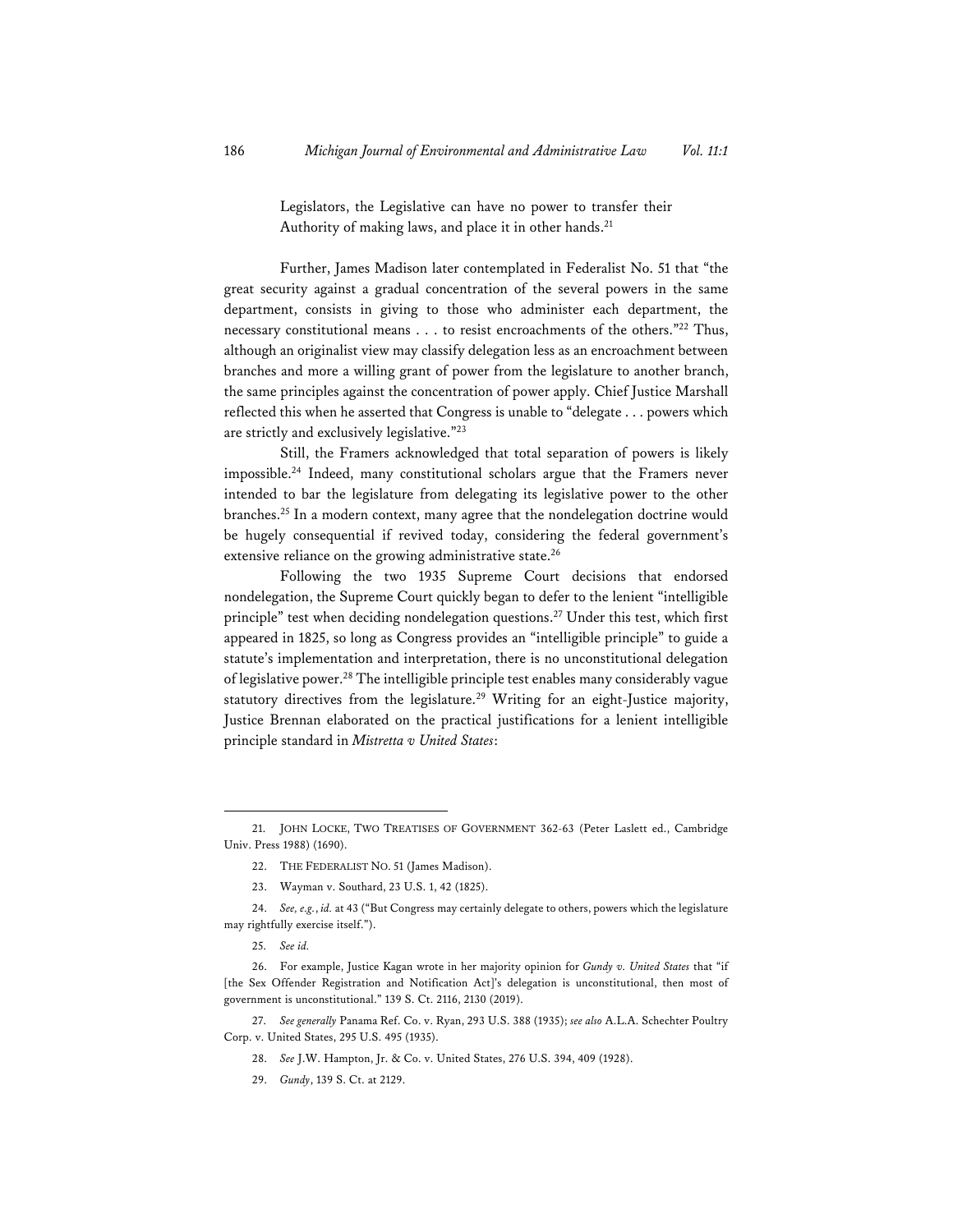Legislators, the Legislative can have no power to transfer their Authority of making laws, and place it in other hands.<sup>21</sup>

Further, James Madison later contemplated in Federalist No. 51 that "the great security against a gradual concentration of the several powers in the same department, consists in giving to those who administer each department, the necessary constitutional means . . . to resist encroachments of the others."22 Thus, although an originalist view may classify delegation less as an encroachment between branches and more a willing grant of power from the legislature to another branch, the same principles against the concentration of power apply. Chief Justice Marshall reflected this when he asserted that Congress is unable to "delegate . . . powers which are strictly and exclusively legislative."23

Still, the Framers acknowledged that total separation of powers is likely impossible.24 Indeed, many constitutional scholars argue that the Framers never intended to bar the legislature from delegating its legislative power to the other branches.25 In a modern context, many agree that the nondelegation doctrine would be hugely consequential if revived today, considering the federal government's extensive reliance on the growing administrative state.<sup>26</sup>

Following the two 1935 Supreme Court decisions that endorsed nondelegation, the Supreme Court quickly began to defer to the lenient "intelligible principle" test when deciding nondelegation questions.27 Under this test, which first appeared in 1825, so long as Congress provides an "intelligible principle" to guide a statute's implementation and interpretation, there is no unconstitutional delegation of legislative power.28 The intelligible principle test enables many considerably vague statutory directives from the legislature.<sup>29</sup> Writing for an eight-Justice majority, Justice Brennan elaborated on the practical justifications for a lenient intelligible principle standard in *Mistretta v United States*:

29. *Gundy*, 139 S. Ct. at 2129.

<sup>21.</sup> JOHN LOCKE, TWO TREATISES OF GOVERNMENT 362-63 (Peter Laslett ed., Cambridge Univ. Press 1988) (1690).

<sup>22.</sup> THE FEDERALIST NO. 51 (James Madison).

<sup>23.</sup> Wayman v. Southard, 23 U.S. 1, 42 (1825).

<sup>24.</sup> *See, e.g.*, *id.* at 43 ("But Congress may certainly delegate to others, powers which the legislature may rightfully exercise itself.").

<sup>25.</sup> *See id.*

<sup>26.</sup> For example, Justice Kagan wrote in her majority opinion for *Gundy v. United States* that "if [the Sex Offender Registration and Notification Act]'s delegation is unconstitutional, then most of government is unconstitutional." 139 S. Ct. 2116, 2130 (2019).

<sup>27.</sup> *See generally* Panama Ref. Co. v. Ryan, 293 U.S. 388 (1935); *see also* A.L.A. Schechter Poultry Corp. v. United States, 295 U.S. 495 (1935).

<sup>28.</sup> *See* J.W. Hampton, Jr. & Co. v. United States, 276 U.S. 394, 409 (1928).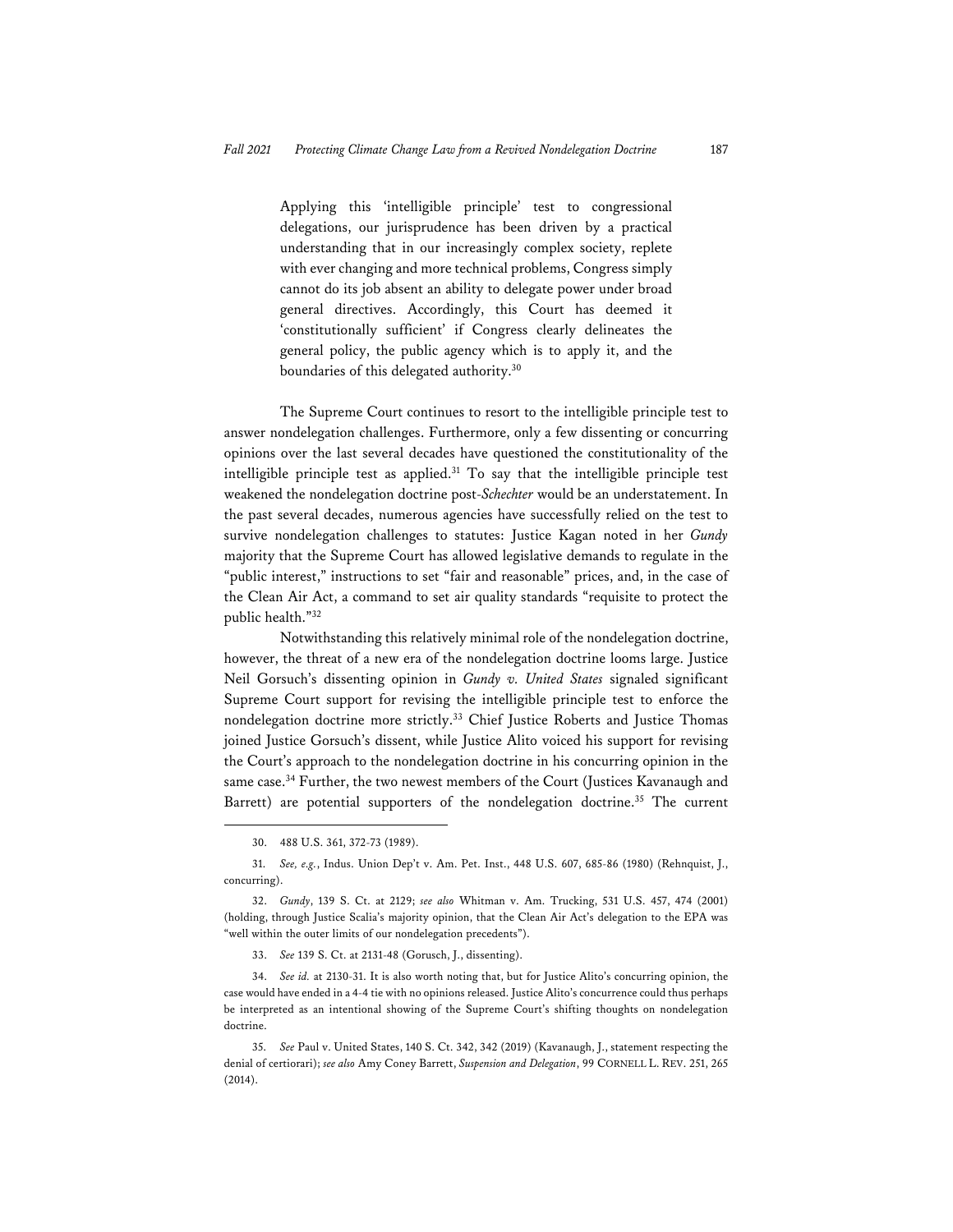Applying this 'intelligible principle' test to congressional delegations, our jurisprudence has been driven by a practical understanding that in our increasingly complex society, replete with ever changing and more technical problems, Congress simply cannot do its job absent an ability to delegate power under broad general directives. Accordingly, this Court has deemed it 'constitutionally sufficient' if Congress clearly delineates the general policy, the public agency which is to apply it, and the boundaries of this delegated authority.30

The Supreme Court continues to resort to the intelligible principle test to answer nondelegation challenges. Furthermore, only a few dissenting or concurring opinions over the last several decades have questioned the constitutionality of the intelligible principle test as applied.31 To say that the intelligible principle test weakened the nondelegation doctrine post-*Schechter* would be an understatement. In the past several decades, numerous agencies have successfully relied on the test to survive nondelegation challenges to statutes: Justice Kagan noted in her *Gundy* majority that the Supreme Court has allowed legislative demands to regulate in the "public interest," instructions to set "fair and reasonable" prices, and, in the case of the Clean Air Act, a command to set air quality standards "requisite to protect the public health."32

Notwithstanding this relatively minimal role of the nondelegation doctrine, however, the threat of a new era of the nondelegation doctrine looms large. Justice Neil Gorsuch's dissenting opinion in *Gundy v. United States* signaled significant Supreme Court support for revising the intelligible principle test to enforce the nondelegation doctrine more strictly.33 Chief Justice Roberts and Justice Thomas joined Justice Gorsuch's dissent, while Justice Alito voiced his support for revising the Court's approach to the nondelegation doctrine in his concurring opinion in the same case.<sup>34</sup> Further, the two newest members of the Court (Justices Kavanaugh and Barrett) are potential supporters of the nondelegation doctrine.<sup>35</sup> The current

33. *See* 139 S. Ct. at 2131-48 (Gorusch, J., dissenting).

34. *See id.* at 2130-31. It is also worth noting that, but for Justice Alito's concurring opinion, the case would have ended in a 4-4 tie with no opinions released. Justice Alito's concurrence could thus perhaps be interpreted as an intentional showing of the Supreme Court's shifting thoughts on nondelegation doctrine.

35. *See* Paul v. United States, 140 S. Ct. 342, 342 (2019) (Kavanaugh, J., statement respecting the denial of certiorari); *see also* Amy Coney Barrett, *Suspension and Delegation*, 99 CORNELL L. REV. 251, 265 (2014).

<sup>30. 488</sup> U.S. 361, 372-73 (1989).

<sup>31.</sup> *See, e.g.*, Indus. Union Dep't v. Am. Pet. Inst., 448 U.S. 607, 685-86 (1980) (Rehnquist, J., concurring).

<sup>32.</sup> *Gundy*, 139 S. Ct. at 2129; *see also* Whitman v. Am. Trucking, 531 U.S. 457, 474 (2001) (holding, through Justice Scalia's majority opinion, that the Clean Air Act's delegation to the EPA was "well within the outer limits of our nondelegation precedents").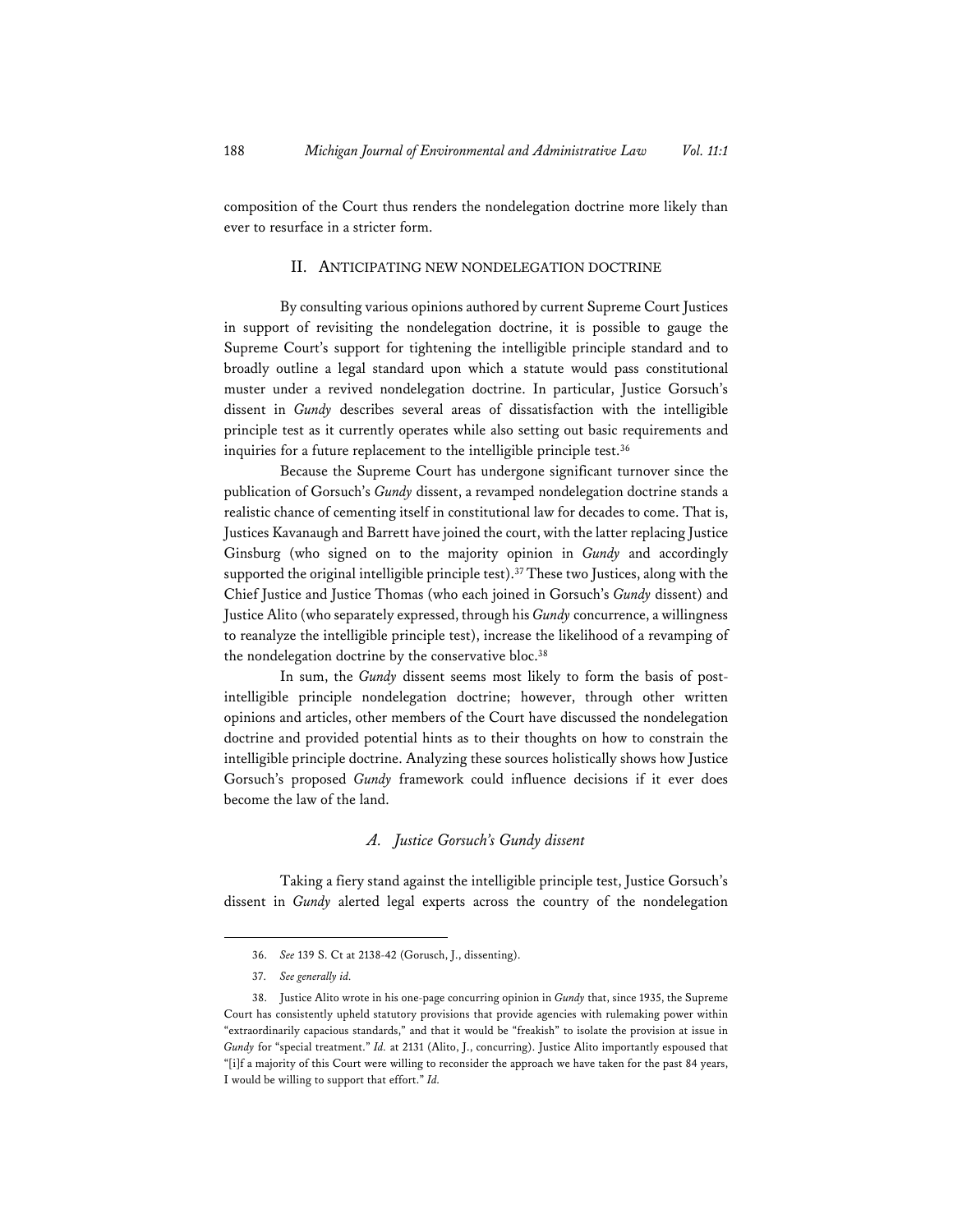composition of the Court thus renders the nondelegation doctrine more likely than ever to resurface in a stricter form.

#### II. ANTICIPATING NEW NONDELEGATION DOCTRINE

By consulting various opinions authored by current Supreme Court Justices in support of revisiting the nondelegation doctrine, it is possible to gauge the Supreme Court's support for tightening the intelligible principle standard and to broadly outline a legal standard upon which a statute would pass constitutional muster under a revived nondelegation doctrine. In particular, Justice Gorsuch's dissent in *Gundy* describes several areas of dissatisfaction with the intelligible principle test as it currently operates while also setting out basic requirements and inquiries for a future replacement to the intelligible principle test.<sup>36</sup>

Because the Supreme Court has undergone significant turnover since the publication of Gorsuch's *Gundy* dissent, a revamped nondelegation doctrine stands a realistic chance of cementing itself in constitutional law for decades to come. That is, Justices Kavanaugh and Barrett have joined the court, with the latter replacing Justice Ginsburg (who signed on to the majority opinion in *Gundy* and accordingly supported the original intelligible principle test).<sup>37</sup> These two Justices, along with the Chief Justice and Justice Thomas (who each joined in Gorsuch's *Gundy* dissent) and Justice Alito (who separately expressed, through his *Gundy* concurrence, a willingness to reanalyze the intelligible principle test), increase the likelihood of a revamping of the nondelegation doctrine by the conservative bloc.<sup>38</sup>

In sum, the *Gundy* dissent seems most likely to form the basis of postintelligible principle nondelegation doctrine; however, through other written opinions and articles, other members of the Court have discussed the nondelegation doctrine and provided potential hints as to their thoughts on how to constrain the intelligible principle doctrine. Analyzing these sources holistically shows how Justice Gorsuch's proposed *Gundy* framework could influence decisions if it ever does become the law of the land.

#### *A. Justice Gorsuch's Gundy dissent*

Taking a fiery stand against the intelligible principle test, Justice Gorsuch's dissent in *Gundy* alerted legal experts across the country of the nondelegation

<sup>36.</sup> *See* 139 S. Ct at 2138-42 (Gorusch, J., dissenting).

<sup>37.</sup> *See generally id.*

<sup>38.</sup> Justice Alito wrote in his one-page concurring opinion in *Gundy* that, since 1935, the Supreme Court has consistently upheld statutory provisions that provide agencies with rulemaking power within "extraordinarily capacious standards," and that it would be "freakish" to isolate the provision at issue in *Gundy* for "special treatment." *Id.* at 2131 (Alito, J., concurring). Justice Alito importantly espoused that "[i]f a majority of this Court were willing to reconsider the approach we have taken for the past 84 years, I would be willing to support that effort." *Id.*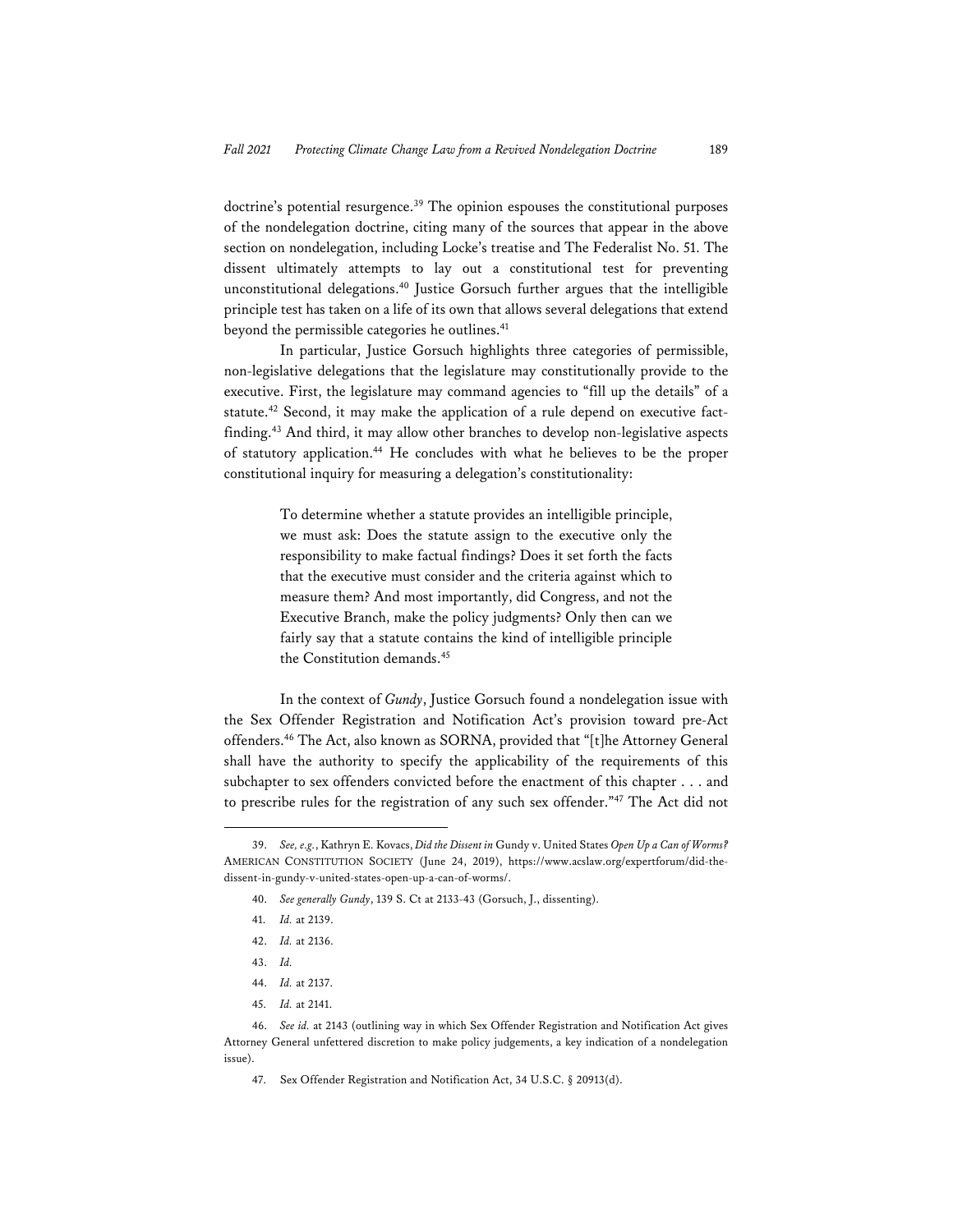doctrine's potential resurgence.<sup>39</sup> The opinion espouses the constitutional purposes of the nondelegation doctrine, citing many of the sources that appear in the above section on nondelegation, including Locke's treatise and The Federalist No. 51. The dissent ultimately attempts to lay out a constitutional test for preventing unconstitutional delegations.40 Justice Gorsuch further argues that the intelligible principle test has taken on a life of its own that allows several delegations that extend beyond the permissible categories he outlines.<sup>41</sup>

In particular, Justice Gorsuch highlights three categories of permissible, non-legislative delegations that the legislature may constitutionally provide to the executive. First, the legislature may command agencies to "fill up the details" of a statute.42 Second, it may make the application of a rule depend on executive factfinding.43 And third, it may allow other branches to develop non-legislative aspects of statutory application.<sup>44</sup> He concludes with what he believes to be the proper constitutional inquiry for measuring a delegation's constitutionality:

> To determine whether a statute provides an intelligible principle, we must ask: Does the statute assign to the executive only the responsibility to make factual findings? Does it set forth the facts that the executive must consider and the criteria against which to measure them? And most importantly, did Congress, and not the Executive Branch, make the policy judgments? Only then can we fairly say that a statute contains the kind of intelligible principle the Constitution demands.<sup>45</sup>

In the context of *Gundy*, Justice Gorsuch found a nondelegation issue with the Sex Offender Registration and Notification Act's provision toward pre-Act offenders.46 The Act, also known as SORNA, provided that "[t]he Attorney General shall have the authority to specify the applicability of the requirements of this subchapter to sex offenders convicted before the enactment of this chapter . . . and to prescribe rules for the registration of any such sex offender."47 The Act did not

- 40. *See generally Gundy*, 139 S. Ct at 2133-43 (Gorsuch, J., dissenting).
- 41. *Id.* at 2139.
- 42. *Id.* at 2136.
- 43. *Id.*
- 44. *Id.* at 2137.
- 45. *Id.* at 2141.

47. Sex Offender Registration and Notification Act, 34 U.S.C. § 20913(d).

<sup>39.</sup> *See, e.g.*, Kathryn E. Kovacs, *Did the Dissent in* Gundy v. United States *Open Up a Can of Worms?* AMERICAN CONSTITUTION SOCIETY (June 24, 2019), https://www.acslaw.org/expertforum/did-thedissent-in-gundy-v-united-states-open-up-a-can-of-worms/.

<sup>46.</sup> *See id.* at 2143 (outlining way in which Sex Offender Registration and Notification Act gives Attorney General unfettered discretion to make policy judgements, a key indication of a nondelegation issue).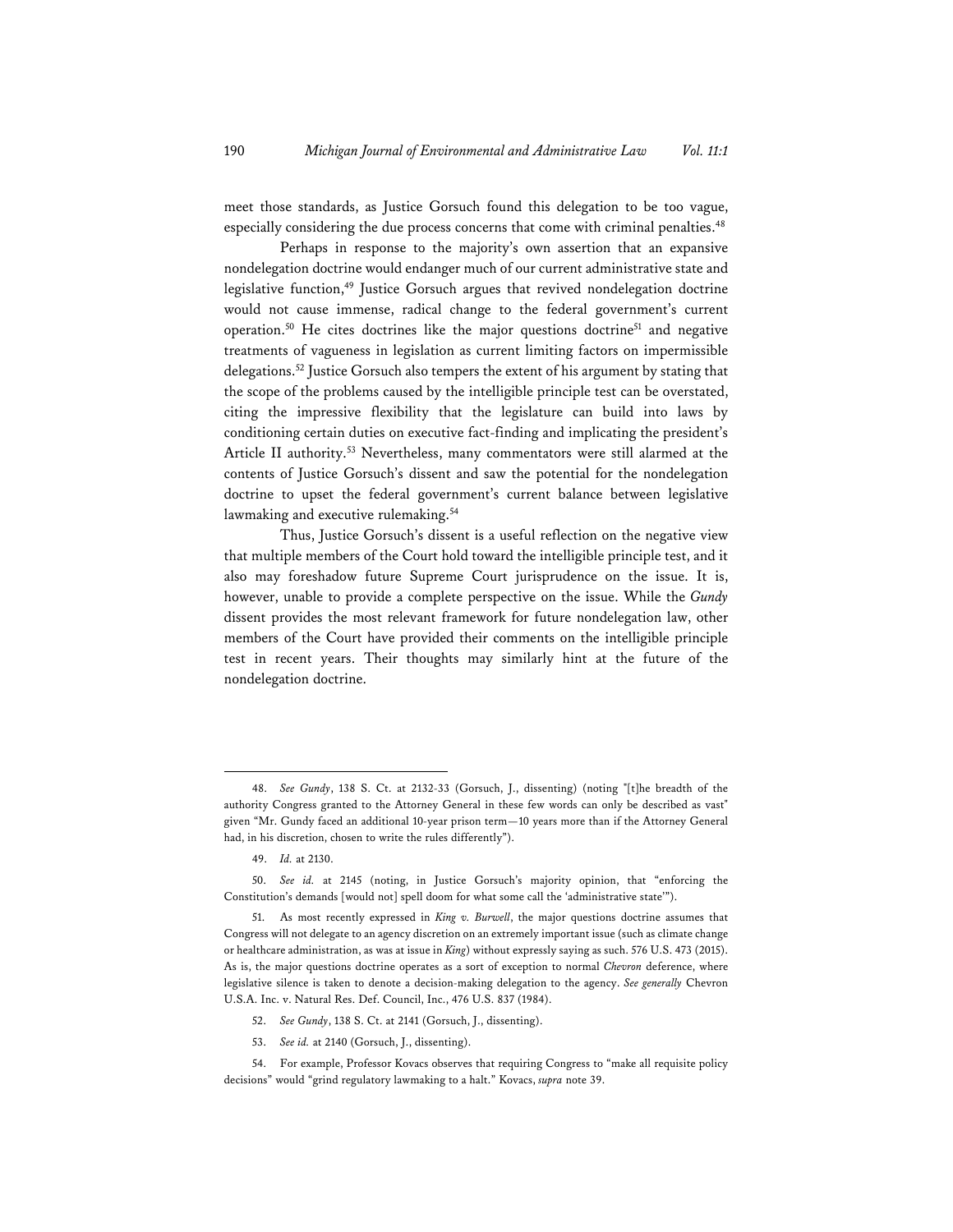meet those standards, as Justice Gorsuch found this delegation to be too vague, especially considering the due process concerns that come with criminal penalties.<sup>48</sup>

Perhaps in response to the majority's own assertion that an expansive nondelegation doctrine would endanger much of our current administrative state and legislative function,<sup>49</sup> Justice Gorsuch argues that revived nondelegation doctrine would not cause immense, radical change to the federal government's current operation.50 He cites doctrines like the major questions doctrine51 and negative treatments of vagueness in legislation as current limiting factors on impermissible delegations.52 Justice Gorsuch also tempers the extent of his argument by stating that the scope of the problems caused by the intelligible principle test can be overstated, citing the impressive flexibility that the legislature can build into laws by conditioning certain duties on executive fact-finding and implicating the president's Article II authority.<sup>53</sup> Nevertheless, many commentators were still alarmed at the contents of Justice Gorsuch's dissent and saw the potential for the nondelegation doctrine to upset the federal government's current balance between legislative lawmaking and executive rulemaking.<sup>54</sup>

Thus, Justice Gorsuch's dissent is a useful reflection on the negative view that multiple members of the Court hold toward the intelligible principle test, and it also may foreshadow future Supreme Court jurisprudence on the issue. It is, however, unable to provide a complete perspective on the issue. While the *Gundy* dissent provides the most relevant framework for future nondelegation law, other members of the Court have provided their comments on the intelligible principle test in recent years. Their thoughts may similarly hint at the future of the nondelegation doctrine.

53. *See id.* at 2140 (Gorsuch, J., dissenting).

<sup>48.</sup> *See Gundy*, 138 S. Ct. at 2132-33 (Gorsuch, J., dissenting) (noting "[t]he breadth of the authority Congress granted to the Attorney General in these few words can only be described as vast" given "Mr. Gundy faced an additional 10-year prison term—10 years more than if the Attorney General had, in his discretion, chosen to write the rules differently").

<sup>49.</sup> *Id.* at 2130.

<sup>50.</sup> *See id.* at 2145 (noting, in Justice Gorsuch's majority opinion, that "enforcing the Constitution's demands [would not] spell doom for what some call the 'administrative state'").

<sup>51.</sup> As most recently expressed in *King v. Burwell*, the major questions doctrine assumes that Congress will not delegate to an agency discretion on an extremely important issue (such as climate change or healthcare administration, as was at issue in *King*) without expressly saying as such. 576 U.S. 473 (2015). As is, the major questions doctrine operates as a sort of exception to normal *Chevron* deference, where legislative silence is taken to denote a decision-making delegation to the agency. *See generally* Chevron U.S.A. Inc. v. Natural Res. Def. Council, Inc., 476 U.S. 837 (1984).

<sup>52.</sup> *See Gundy*, 138 S. Ct. at 2141 (Gorsuch, J., dissenting).

<sup>54.</sup> For example, Professor Kovacs observes that requiring Congress to "make all requisite policy decisions" would "grind regulatory lawmaking to a halt." Kovacs, *supra* note 39.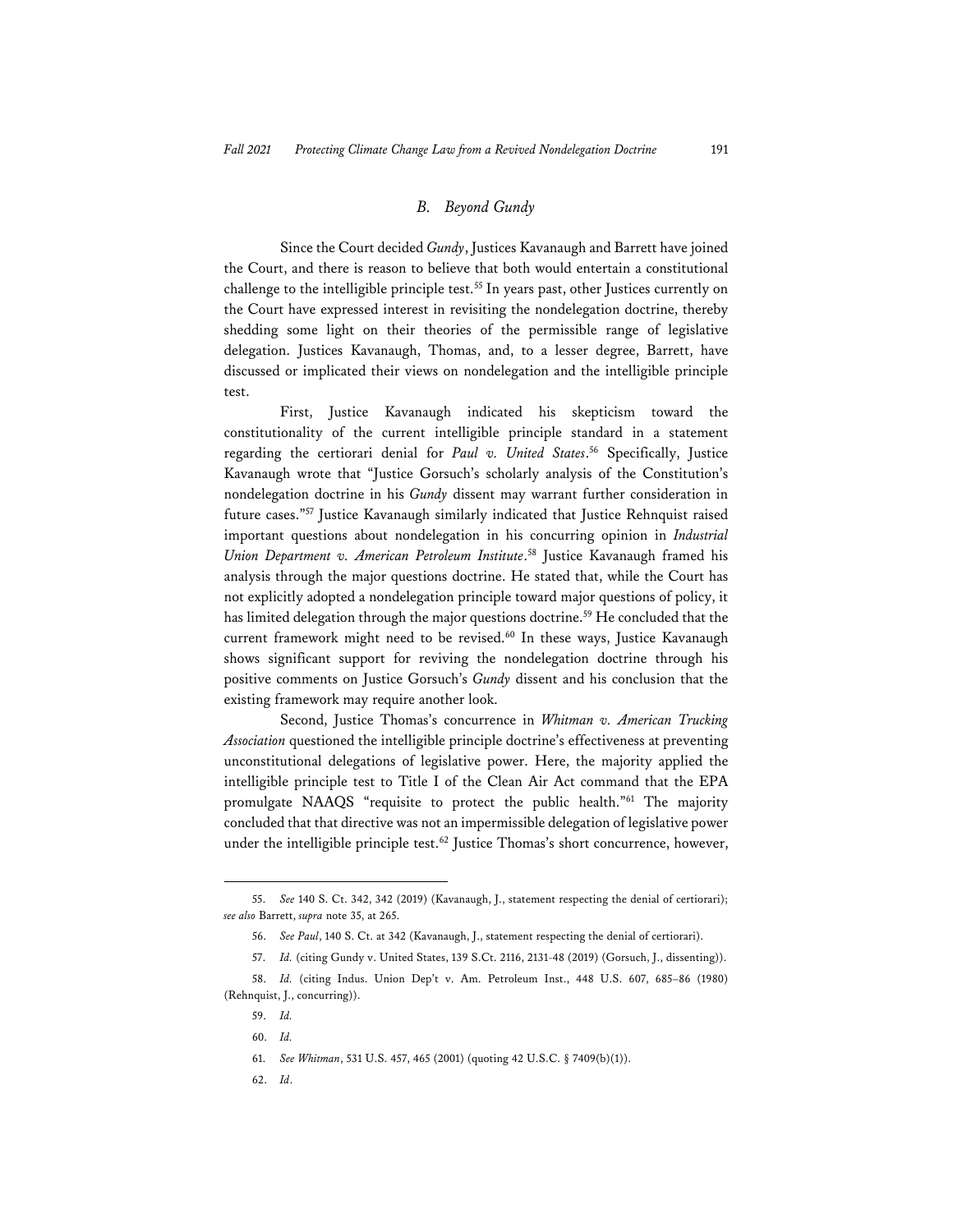#### *B. Beyond Gundy*

Since the Court decided *Gundy*, Justices Kavanaugh and Barrett have joined the Court, and there is reason to believe that both would entertain a constitutional challenge to the intelligible principle test.<sup>55</sup> In years past, other Justices currently on the Court have expressed interest in revisiting the nondelegation doctrine, thereby shedding some light on their theories of the permissible range of legislative delegation. Justices Kavanaugh, Thomas, and, to a lesser degree, Barrett, have discussed or implicated their views on nondelegation and the intelligible principle test.

First, Justice Kavanaugh indicated his skepticism toward the constitutionality of the current intelligible principle standard in a statement regarding the certiorari denial for *Paul v. United States*. 56 Specifically, Justice Kavanaugh wrote that "Justice Gorsuch's scholarly analysis of the Constitution's nondelegation doctrine in his *Gundy* dissent may warrant further consideration in future cases."57 Justice Kavanaugh similarly indicated that Justice Rehnquist raised important questions about nondelegation in his concurring opinion in *Industrial Union Department v. American Petroleum Institute*. 58 Justice Kavanaugh framed his analysis through the major questions doctrine. He stated that, while the Court has not explicitly adopted a nondelegation principle toward major questions of policy, it has limited delegation through the major questions doctrine.<sup>59</sup> He concluded that the current framework might need to be revised.<sup>60</sup> In these ways, Justice Kavanaugh shows significant support for reviving the nondelegation doctrine through his positive comments on Justice Gorsuch's *Gundy* dissent and his conclusion that the existing framework may require another look.

Second, Justice Thomas's concurrence in *Whitman v. American Trucking Association* questioned the intelligible principle doctrine's effectiveness at preventing unconstitutional delegations of legislative power. Here, the majority applied the intelligible principle test to Title I of the Clean Air Act command that the EPA promulgate NAAQS "requisite to protect the public health."61 The majority concluded that that directive was not an impermissible delegation of legislative power under the intelligible principle test.<sup>62</sup> Justice Thomas's short concurrence, however,

62. *Id*.

<sup>55.</sup> *See* 140 S. Ct. 342, 342 (2019) (Kavanaugh, J., statement respecting the denial of certiorari); *see also* Barrett, *supra* note 35, at 265.

<sup>56.</sup> *See Paul*, 140 S. Ct. at 342 (Kavanaugh, J., statement respecting the denial of certiorari).

<sup>57.</sup> *Id.* (citing Gundy v. United States, 139 S.Ct. 2116, 2131-48 (2019) (Gorsuch, J., dissenting)).

<sup>58.</sup> *Id.* (citing Indus. Union Dep't v. Am. Petroleum Inst., 448 U.S. 607, 685–86 (1980) (Rehnquist, J., concurring)).

<sup>59.</sup> *Id.*

<sup>60.</sup> *Id.*

<sup>61.</sup> *See Whitman*, 531 U.S. 457, 465 (2001) (quoting 42 U.S.C. § 7409(b)(1)).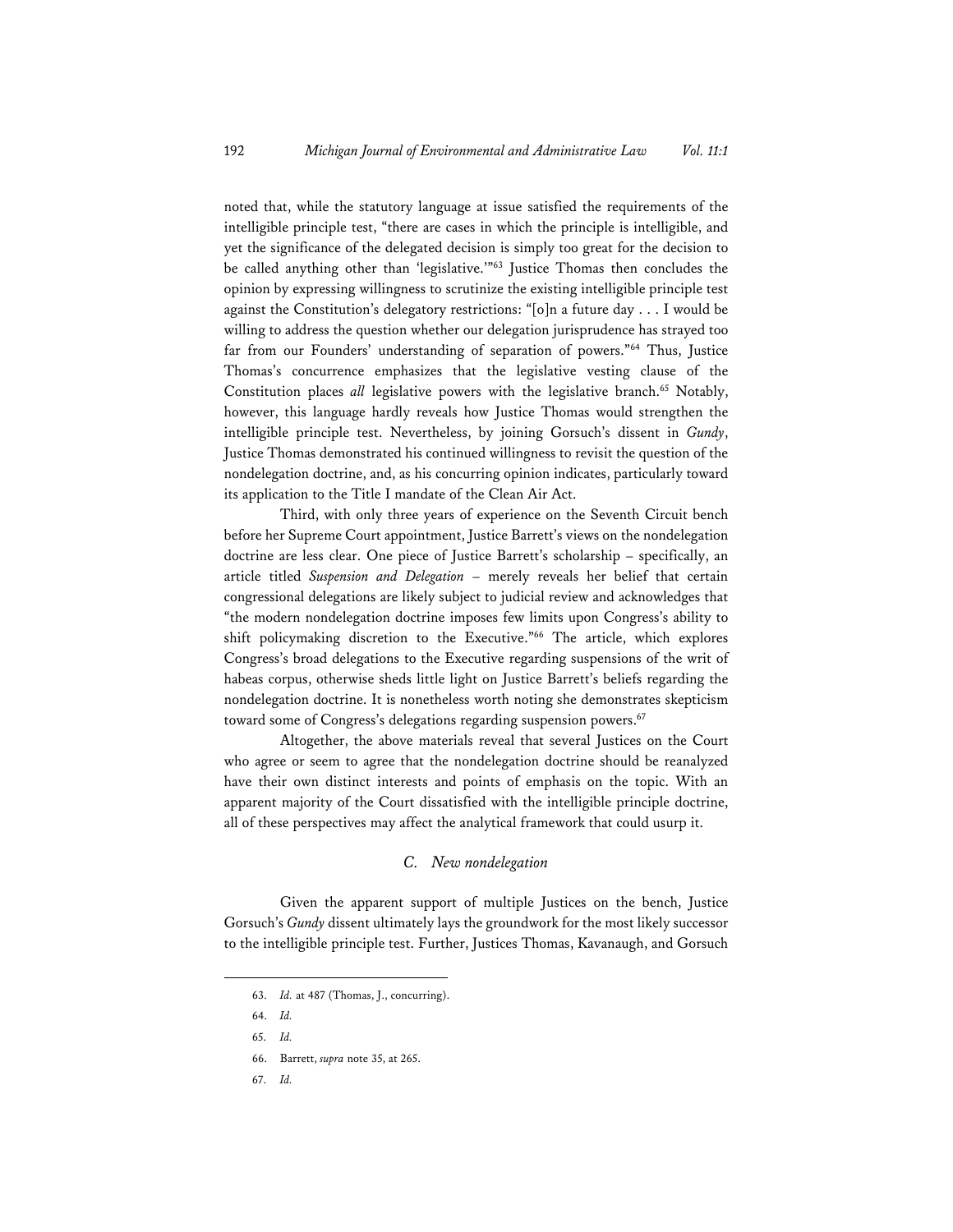noted that, while the statutory language at issue satisfied the requirements of the intelligible principle test, "there are cases in which the principle is intelligible, and yet the significance of the delegated decision is simply too great for the decision to be called anything other than 'legislative.'"63 Justice Thomas then concludes the opinion by expressing willingness to scrutinize the existing intelligible principle test against the Constitution's delegatory restrictions: "[o]n a future day . . . I would be willing to address the question whether our delegation jurisprudence has strayed too far from our Founders' understanding of separation of powers."<sup>64</sup> Thus, Justice Thomas's concurrence emphasizes that the legislative vesting clause of the Constitution places all legislative powers with the legislative branch.<sup>65</sup> Notably, however, this language hardly reveals how Justice Thomas would strengthen the intelligible principle test. Nevertheless, by joining Gorsuch's dissent in *Gundy*, Justice Thomas demonstrated his continued willingness to revisit the question of the nondelegation doctrine, and, as his concurring opinion indicates, particularly toward its application to the Title I mandate of the Clean Air Act.

Third, with only three years of experience on the Seventh Circuit bench before her Supreme Court appointment, Justice Barrett's views on the nondelegation doctrine are less clear. One piece of Justice Barrett's scholarship – specifically, an article titled *Suspension and Delegation* – merely reveals her belief that certain congressional delegations are likely subject to judicial review and acknowledges that "the modern nondelegation doctrine imposes few limits upon Congress's ability to shift policymaking discretion to the Executive."66 The article, which explores Congress's broad delegations to the Executive regarding suspensions of the writ of habeas corpus, otherwise sheds little light on Justice Barrett's beliefs regarding the nondelegation doctrine. It is nonetheless worth noting she demonstrates skepticism toward some of Congress's delegations regarding suspension powers.<sup>67</sup>

Altogether, the above materials reveal that several Justices on the Court who agree or seem to agree that the nondelegation doctrine should be reanalyzed have their own distinct interests and points of emphasis on the topic. With an apparent majority of the Court dissatisfied with the intelligible principle doctrine, all of these perspectives may affect the analytical framework that could usurp it.

## *C. New nondelegation*

Given the apparent support of multiple Justices on the bench, Justice Gorsuch's *Gundy* dissent ultimately lays the groundwork for the most likely successor to the intelligible principle test. Further, Justices Thomas, Kavanaugh, and Gorsuch

67. *Id.*

<sup>63.</sup> *Id.* at 487 (Thomas, J., concurring).

<sup>64.</sup> *Id.*

<sup>65.</sup> *Id.* 

<sup>66.</sup> Barrett, *supra* note 35, at 265.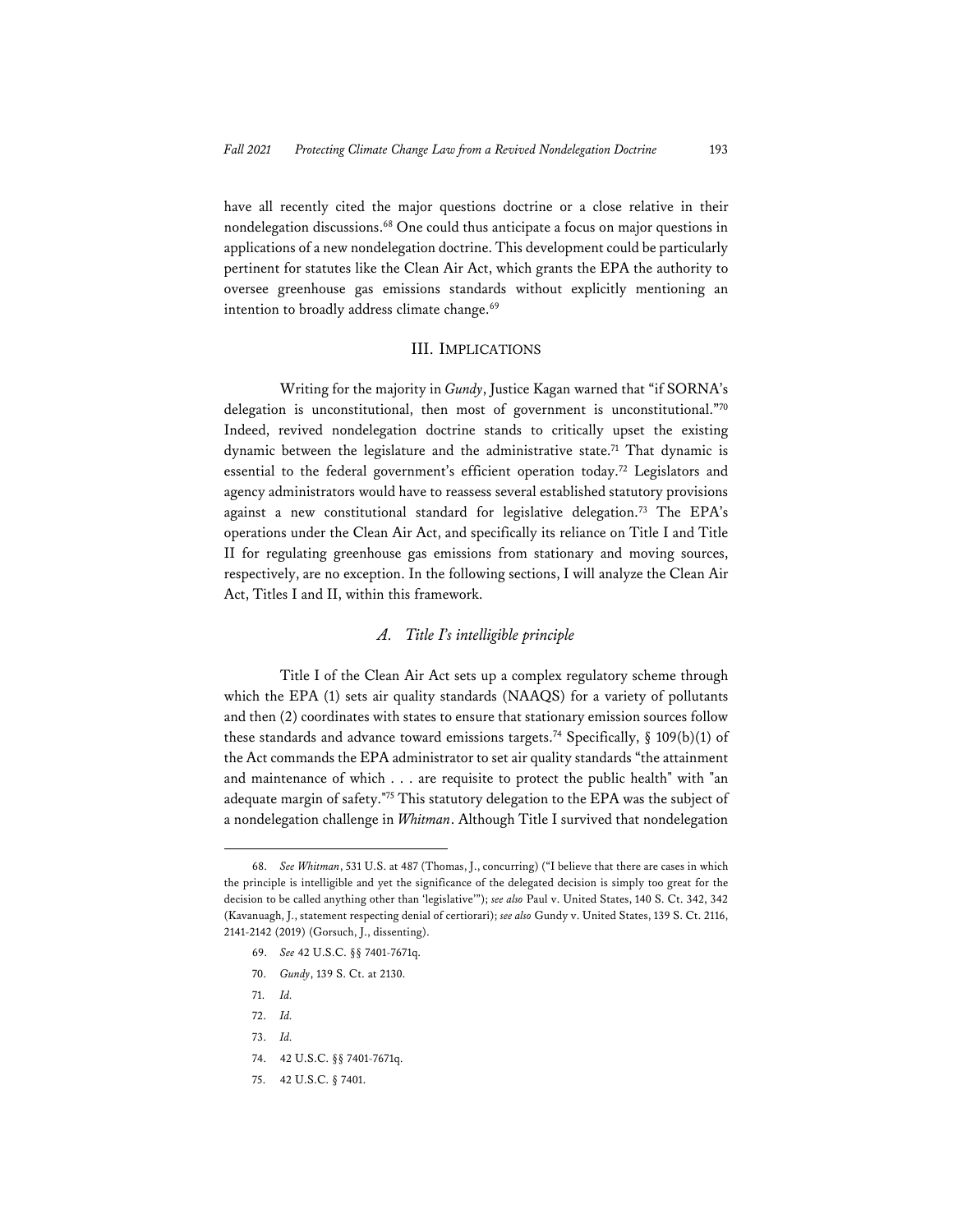have all recently cited the major questions doctrine or a close relative in their nondelegation discussions.68 One could thus anticipate a focus on major questions in applications of a new nondelegation doctrine. This development could be particularly pertinent for statutes like the Clean Air Act, which grants the EPA the authority to oversee greenhouse gas emissions standards without explicitly mentioning an intention to broadly address climate change.<sup>69</sup>

#### III. IMPLICATIONS

Writing for the majority in *Gundy*, Justice Kagan warned that "if SORNA's delegation is unconstitutional, then most of government is unconstitutional."70 Indeed, revived nondelegation doctrine stands to critically upset the existing dynamic between the legislature and the administrative state.<sup>71</sup> That dynamic is essential to the federal government's efficient operation today.72 Legislators and agency administrators would have to reassess several established statutory provisions against a new constitutional standard for legislative delegation.<sup>73</sup> The EPA's operations under the Clean Air Act, and specifically its reliance on Title I and Title II for regulating greenhouse gas emissions from stationary and moving sources, respectively, are no exception. In the following sections, I will analyze the Clean Air Act, Titles I and II, within this framework.

#### *A. Title I's intelligible principle*

Title I of the Clean Air Act sets up a complex regulatory scheme through which the EPA (1) sets air quality standards (NAAQS) for a variety of pollutants and then (2) coordinates with states to ensure that stationary emission sources follow these standards and advance toward emissions targets.<sup>74</sup> Specifically, § 109(b)(1) of the Act commands the EPA administrator to set air quality standards "the attainment and maintenance of which . . . are requisite to protect the public health" with "an adequate margin of safety."75 This statutory delegation to the EPA was the subject of a nondelegation challenge in *Whitman*. Although Title I survived that nondelegation

<sup>68.</sup> *See Whitman*, 531 U.S. at 487 (Thomas, J., concurring) ("I believe that there are cases in which the principle is intelligible and yet the significance of the delegated decision is simply too great for the decision to be called anything other than 'legislative'"); *see also* Paul v. United States, 140 S. Ct. 342, 342 (Kavanuagh, J., statement respecting denial of certiorari); *see also* Gundy v. United States, 139 S. Ct. 2116, 2141-2142 (2019) (Gorsuch, J., dissenting).

<sup>69.</sup> *See* 42 U.S.C. §§ 7401-7671q.

<sup>70.</sup> *Gundy*, 139 S. Ct. at 2130.

<sup>71.</sup> *Id.*

<sup>72.</sup> *Id.* 

<sup>73.</sup> *Id.*

<sup>74. 42</sup> U.S.C. §§ 7401-7671q.

<sup>75. 42</sup> U.S.C. § 7401.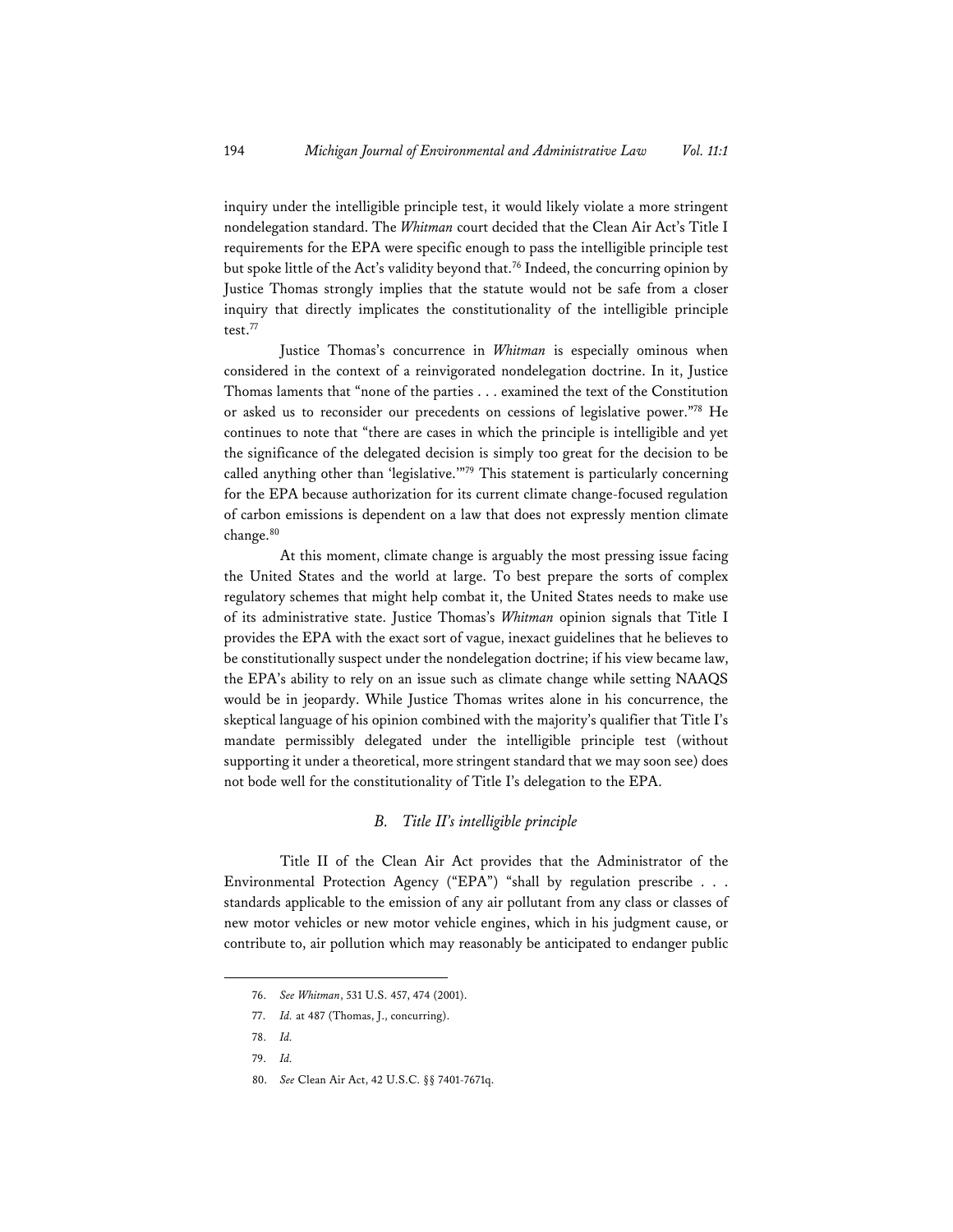inquiry under the intelligible principle test, it would likely violate a more stringent nondelegation standard. The *Whitman* court decided that the Clean Air Act's Title I requirements for the EPA were specific enough to pass the intelligible principle test but spoke little of the Act's validity beyond that.<sup>76</sup> Indeed, the concurring opinion by Justice Thomas strongly implies that the statute would not be safe from a closer inquiry that directly implicates the constitutionality of the intelligible principle test.77

Justice Thomas's concurrence in *Whitman* is especially ominous when considered in the context of a reinvigorated nondelegation doctrine. In it, Justice Thomas laments that "none of the parties . . . examined the text of the Constitution or asked us to reconsider our precedents on cessions of legislative power."78 He continues to note that "there are cases in which the principle is intelligible and yet the significance of the delegated decision is simply too great for the decision to be called anything other than 'legislative.'"79 This statement is particularly concerning for the EPA because authorization for its current climate change-focused regulation of carbon emissions is dependent on a law that does not expressly mention climate change.<sup>80</sup>

At this moment, climate change is arguably the most pressing issue facing the United States and the world at large. To best prepare the sorts of complex regulatory schemes that might help combat it, the United States needs to make use of its administrative state. Justice Thomas's *Whitman* opinion signals that Title I provides the EPA with the exact sort of vague, inexact guidelines that he believes to be constitutionally suspect under the nondelegation doctrine; if his view became law, the EPA's ability to rely on an issue such as climate change while setting NAAQS would be in jeopardy. While Justice Thomas writes alone in his concurrence, the skeptical language of his opinion combined with the majority's qualifier that Title I's mandate permissibly delegated under the intelligible principle test (without supporting it under a theoretical, more stringent standard that we may soon see) does not bode well for the constitutionality of Title I's delegation to the EPA.

#### *B. Title II's intelligible principle*

Title II of the Clean Air Act provides that the Administrator of the Environmental Protection Agency ("EPA") "shall by regulation prescribe . . . standards applicable to the emission of any air pollutant from any class or classes of new motor vehicles or new motor vehicle engines, which in his judgment cause, or contribute to, air pollution which may reasonably be anticipated to endanger public

80. *See* Clean Air Act, 42 U.S.C. §§ 7401-7671q.

<sup>76.</sup> *See Whitman*, 531 U.S. 457, 474 (2001).

<sup>77.</sup> *Id.* at 487 (Thomas, J., concurring).

<sup>78.</sup> *Id.*

<sup>79.</sup> *Id.*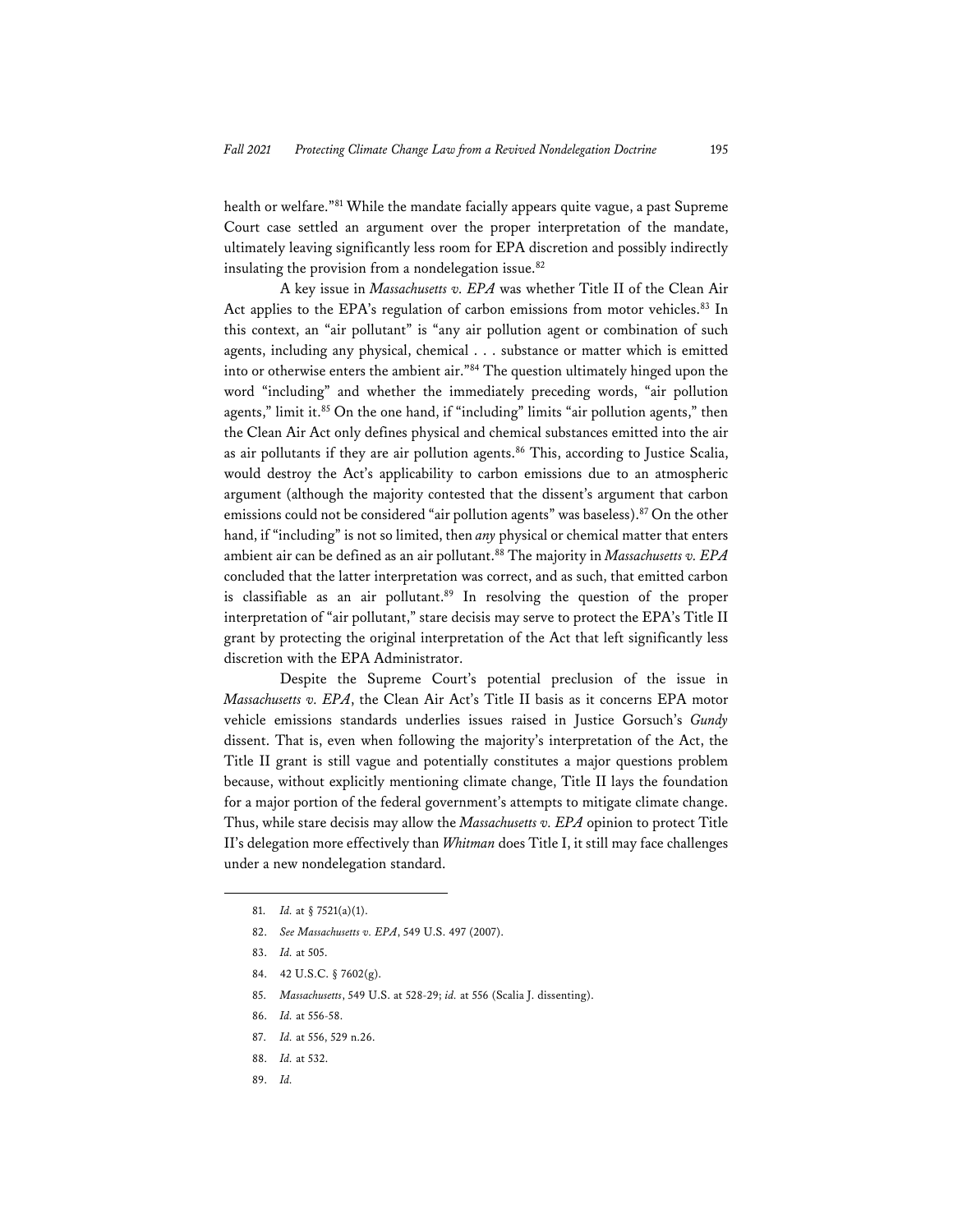health or welfare."81 While the mandate facially appears quite vague, a past Supreme Court case settled an argument over the proper interpretation of the mandate, ultimately leaving significantly less room for EPA discretion and possibly indirectly insulating the provision from a nondelegation issue.<sup>82</sup>

A key issue in *Massachusetts v. EPA* was whether Title II of the Clean Air Act applies to the EPA's regulation of carbon emissions from motor vehicles.<sup>83</sup> In this context, an "air pollutant" is "any air pollution agent or combination of such agents, including any physical, chemical . . . substance or matter which is emitted into or otherwise enters the ambient air."84 The question ultimately hinged upon the word "including" and whether the immediately preceding words, "air pollution agents," limit it.<sup>85</sup> On the one hand, if "including" limits "air pollution agents," then the Clean Air Act only defines physical and chemical substances emitted into the air as air pollutants if they are air pollution agents.<sup>86</sup> This, according to Justice Scalia, would destroy the Act's applicability to carbon emissions due to an atmospheric argument (although the majority contested that the dissent's argument that carbon emissions could not be considered "air pollution agents" was baseless).<sup>87</sup> On the other hand, if "including" is not so limited, then *any* physical or chemical matter that enters ambient air can be defined as an air pollutant.<sup>88</sup> The majority in *Massachusetts v. EPA* concluded that the latter interpretation was correct, and as such, that emitted carbon is classifiable as an air pollutant.<sup>89</sup> In resolving the question of the proper interpretation of "air pollutant," stare decisis may serve to protect the EPA's Title II grant by protecting the original interpretation of the Act that left significantly less discretion with the EPA Administrator.

Despite the Supreme Court's potential preclusion of the issue in *Massachusetts v. EPA*, the Clean Air Act's Title II basis as it concerns EPA motor vehicle emissions standards underlies issues raised in Justice Gorsuch's *Gundy* dissent. That is, even when following the majority's interpretation of the Act, the Title II grant is still vague and potentially constitutes a major questions problem because, without explicitly mentioning climate change, Title II lays the foundation for a major portion of the federal government's attempts to mitigate climate change. Thus, while stare decisis may allow the *Massachusetts v. EPA* opinion to protect Title II's delegation more effectively than *Whitman* does Title I, it still may face challenges under a new nondelegation standard.

86. *Id.* at 556-58.

- 88. *Id.* at 532.
- 89. *Id.*

<sup>81.</sup> *Id.* at § 7521(a)(1).

<sup>82.</sup> *See Massachusetts v. EPA*, 549 U.S. 497 (2007).

<sup>83.</sup> *Id.* at 505.

<sup>84. 42</sup> U.S.C. § 7602(g).

<sup>85.</sup> *Massachusetts*, 549 U.S. at 528-29; *id.* at 556 (Scalia J. dissenting).

<sup>87.</sup> *Id.* at 556, 529 n.26.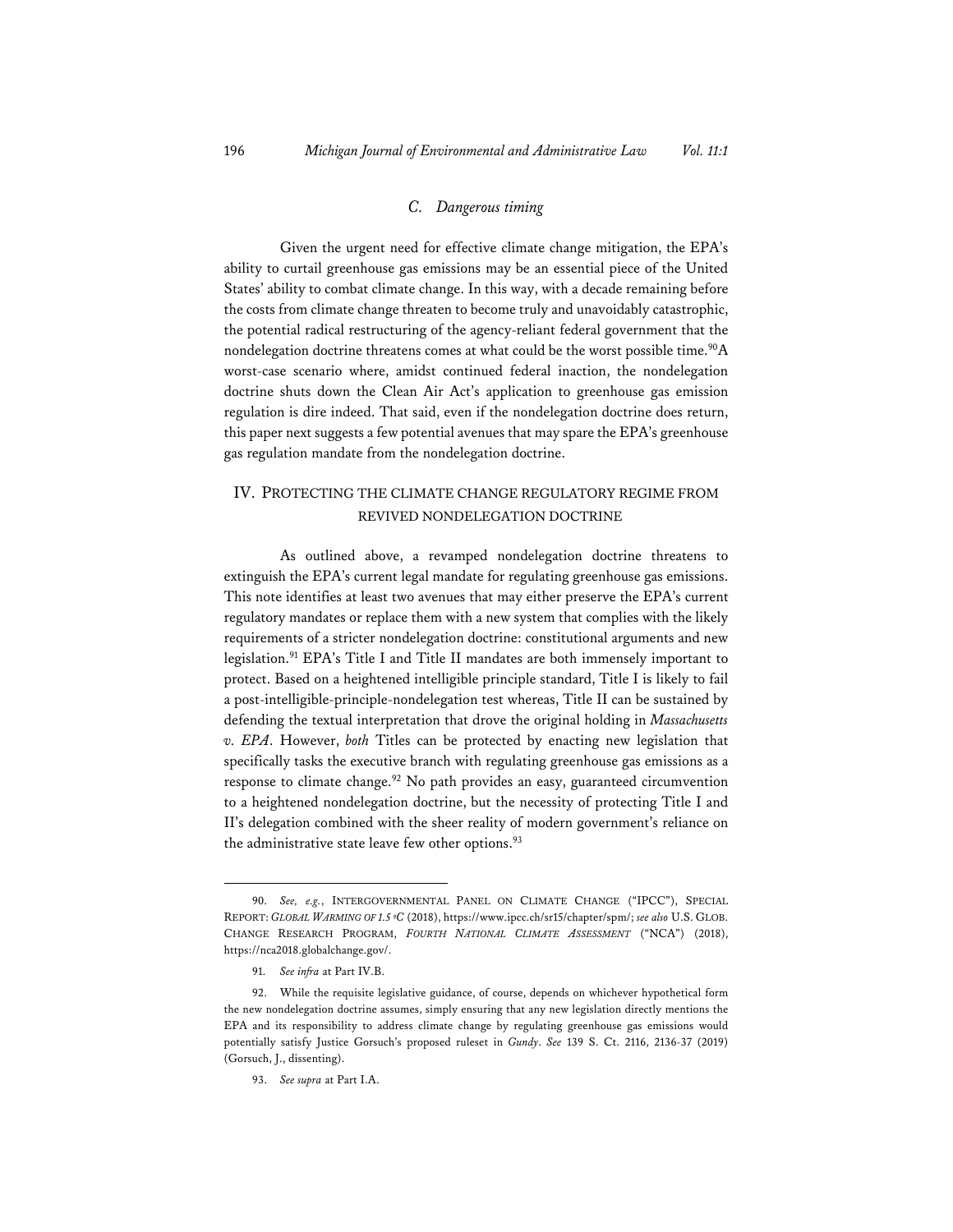## *C. Dangerous timing*

Given the urgent need for effective climate change mitigation, the EPA's ability to curtail greenhouse gas emissions may be an essential piece of the United States' ability to combat climate change. In this way, with a decade remaining before the costs from climate change threaten to become truly and unavoidably catastrophic, the potential radical restructuring of the agency-reliant federal government that the nondelegation doctrine threatens comes at what could be the worst possible time.<sup>90</sup>A worst-case scenario where, amidst continued federal inaction, the nondelegation doctrine shuts down the Clean Air Act's application to greenhouse gas emission regulation is dire indeed. That said, even if the nondelegation doctrine does return, this paper next suggests a few potential avenues that may spare the EPA's greenhouse gas regulation mandate from the nondelegation doctrine.

## IV. PROTECTING THE CLIMATE CHANGE REGULATORY REGIME FROM REVIVED NONDELEGATION DOCTRINE

As outlined above, a revamped nondelegation doctrine threatens to extinguish the EPA's current legal mandate for regulating greenhouse gas emissions. This note identifies at least two avenues that may either preserve the EPA's current regulatory mandates or replace them with a new system that complies with the likely requirements of a stricter nondelegation doctrine: constitutional arguments and new legislation.91 EPA's Title I and Title II mandates are both immensely important to protect. Based on a heightened intelligible principle standard, Title I is likely to fail a post-intelligible-principle-nondelegation test whereas, Title II can be sustained by defending the textual interpretation that drove the original holding in *Massachusetts v. EPA*. However, *both* Titles can be protected by enacting new legislation that specifically tasks the executive branch with regulating greenhouse gas emissions as a response to climate change.<sup>92</sup> No path provides an easy, guaranteed circumvention to a heightened nondelegation doctrine, but the necessity of protecting Title I and II's delegation combined with the sheer reality of modern government's reliance on the administrative state leave few other options.<sup>93</sup>

<sup>90.</sup> *See, e.g.*, INTERGOVERNMENTAL PANEL ON CLIMATE CHANGE ("IPCC"), SPECIAL REPORT: *GLOBAL WARMING OF 1.5 ºC* (2018), https://www.ipcc.ch/sr15/chapter/spm/; *see also* U.S. GLOB. CHANGE RESEARCH PROGRAM, *FOURTH NATIONAL CLIMATE ASSESSMENT* ("NCA") (2018), https://nca2018.globalchange.gov/.

<sup>91.</sup> *See infra* at Part IV.B.

<sup>92.</sup> While the requisite legislative guidance, of course, depends on whichever hypothetical form the new nondelegation doctrine assumes, simply ensuring that any new legislation directly mentions the EPA and its responsibility to address climate change by regulating greenhouse gas emissions would potentially satisfy Justice Gorsuch's proposed ruleset in *Gundy*. *See* 139 S. Ct. 2116, 2136-37 (2019) (Gorsuch, J., dissenting).

<sup>93.</sup> *See supra* at Part I.A.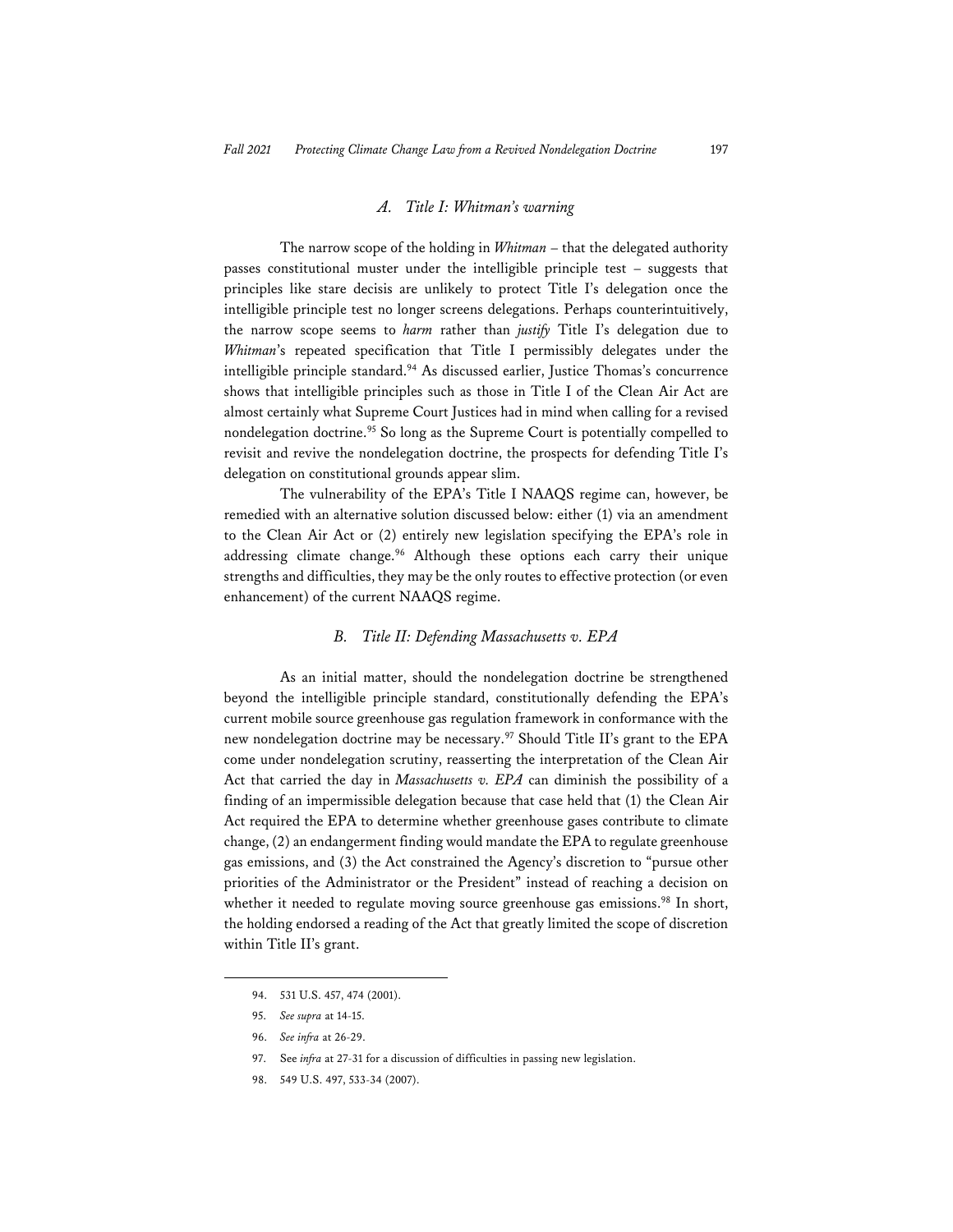#### *A. Title I: Whitman's warning*

The narrow scope of the holding in *Whitman* – that the delegated authority passes constitutional muster under the intelligible principle test – suggests that principles like stare decisis are unlikely to protect Title I's delegation once the intelligible principle test no longer screens delegations. Perhaps counterintuitively, the narrow scope seems to *harm* rather than *justify* Title I's delegation due to *Whitman*'s repeated specification that Title I permissibly delegates under the intelligible principle standard.<sup>94</sup> As discussed earlier, Justice Thomas's concurrence shows that intelligible principles such as those in Title I of the Clean Air Act are almost certainly what Supreme Court Justices had in mind when calling for a revised nondelegation doctrine.<sup>95</sup> So long as the Supreme Court is potentially compelled to revisit and revive the nondelegation doctrine, the prospects for defending Title I's delegation on constitutional grounds appear slim.

The vulnerability of the EPA's Title I NAAQS regime can, however, be remedied with an alternative solution discussed below: either (1) via an amendment to the Clean Air Act or (2) entirely new legislation specifying the EPA's role in addressing climate change.<sup>96</sup> Although these options each carry their unique strengths and difficulties, they may be the only routes to effective protection (or even enhancement) of the current NAAQS regime.

#### *B. Title II: Defending Massachusetts v. EPA*

As an initial matter, should the nondelegation doctrine be strengthened beyond the intelligible principle standard, constitutionally defending the EPA's current mobile source greenhouse gas regulation framework in conformance with the new nondelegation doctrine may be necessary.97 Should Title II's grant to the EPA come under nondelegation scrutiny, reasserting the interpretation of the Clean Air Act that carried the day in *Massachusetts v. EPA* can diminish the possibility of a finding of an impermissible delegation because that case held that (1) the Clean Air Act required the EPA to determine whether greenhouse gases contribute to climate change, (2) an endangerment finding would mandate the EPA to regulate greenhouse gas emissions, and (3) the Act constrained the Agency's discretion to "pursue other priorities of the Administrator or the President" instead of reaching a decision on whether it needed to regulate moving source greenhouse gas emissions.<sup>98</sup> In short, the holding endorsed a reading of the Act that greatly limited the scope of discretion within Title II's grant.

<sup>94. 531</sup> U.S. 457, 474 (2001).

<sup>95.</sup> *See supra* at 14-15.

<sup>96.</sup> *See infra* at 26-29.

<sup>97.</sup> See *infra* at 27-31 for a discussion of difficulties in passing new legislation.

<sup>98. 549</sup> U.S. 497, 533-34 (2007).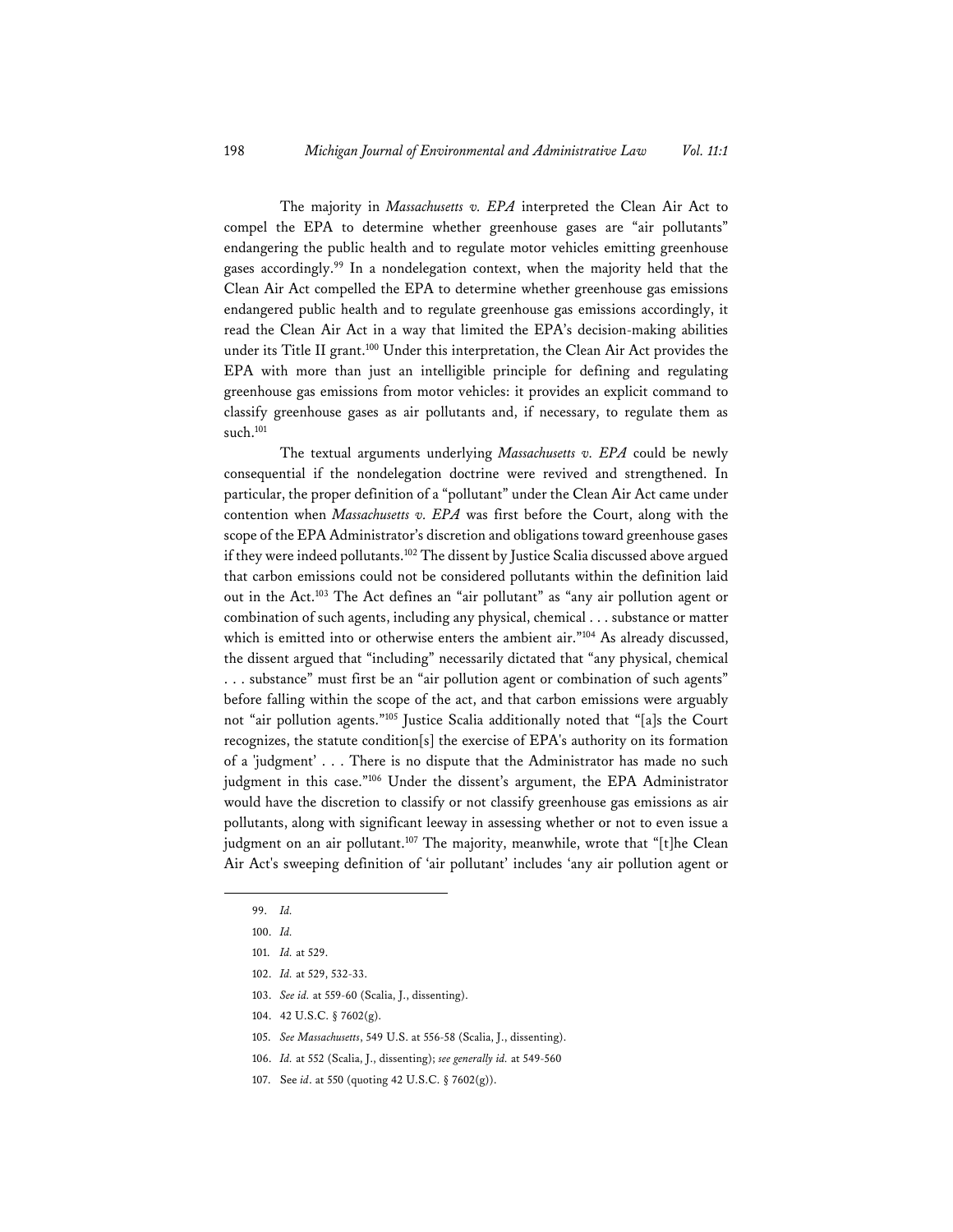The majority in *Massachusetts v. EPA* interpreted the Clean Air Act to compel the EPA to determine whether greenhouse gases are "air pollutants" endangering the public health and to regulate motor vehicles emitting greenhouse gases accordingly.99 In a nondelegation context, when the majority held that the Clean Air Act compelled the EPA to determine whether greenhouse gas emissions endangered public health and to regulate greenhouse gas emissions accordingly, it read the Clean Air Act in a way that limited the EPA's decision-making abilities under its Title II grant.<sup>100</sup> Under this interpretation, the Clean Air Act provides the EPA with more than just an intelligible principle for defining and regulating greenhouse gas emissions from motor vehicles: it provides an explicit command to classify greenhouse gases as air pollutants and, if necessary, to regulate them as such.<sup>101</sup>

The textual arguments underlying *Massachusetts v. EPA* could be newly consequential if the nondelegation doctrine were revived and strengthened. In particular, the proper definition of a "pollutant" under the Clean Air Act came under contention when *Massachusetts v. EPA* was first before the Court, along with the scope of the EPA Administrator's discretion and obligations toward greenhouse gases if they were indeed pollutants.<sup>102</sup> The dissent by Justice Scalia discussed above argued that carbon emissions could not be considered pollutants within the definition laid out in the Act.103 The Act defines an "air pollutant" as "any air pollution agent or combination of such agents, including any physical, chemical . . . substance or matter which is emitted into or otherwise enters the ambient air."<sup>104</sup> As already discussed, the dissent argued that "including" necessarily dictated that "any physical, chemical . . . substance" must first be an "air pollution agent or combination of such agents" before falling within the scope of the act, and that carbon emissions were arguably not "air pollution agents."105 Justice Scalia additionally noted that "[a]s the Court recognizes, the statute condition[s] the exercise of EPA's authority on its formation of a 'judgment' . . . There is no dispute that the Administrator has made no such judgment in this case."<sup>106</sup> Under the dissent's argument, the EPA Administrator would have the discretion to classify or not classify greenhouse gas emissions as air pollutants, along with significant leeway in assessing whether or not to even issue a judgment on an air pollutant.<sup>107</sup> The majority, meanwhile, wrote that "[t]he Clean Air Act's sweeping definition of 'air pollutant' includes 'any air pollution agent or

106. *Id.* at 552 (Scalia, J., dissenting); *see generally id.* at 549-560

<sup>99.</sup> *Id.*

<sup>100.</sup> *Id.*

<sup>101.</sup> *Id.* at 529.

<sup>102.</sup> *Id.* at 529, 532-33.

<sup>103.</sup> *See id.* at 559-60 (Scalia, J., dissenting).

<sup>104. 42</sup> U.S.C. § 7602(g).

<sup>105.</sup> *See Massachusetts*, 549 U.S. at 556-58 (Scalia, J., dissenting).

<sup>107.</sup> See *id*. at 550 (quoting 42 U.S.C. § 7602(g)).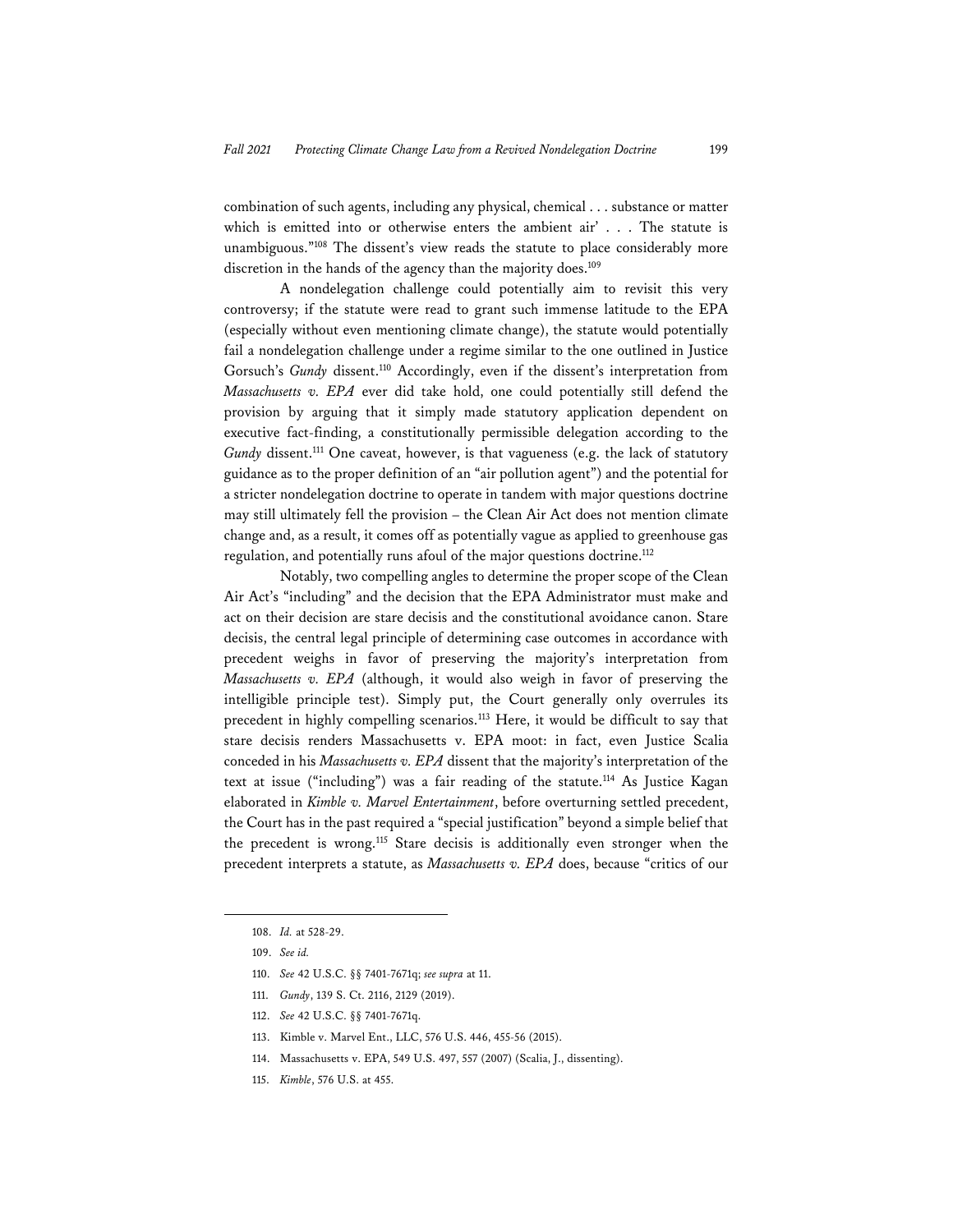combination of such agents, including any physical, chemical . . . substance or matter which is emitted into or otherwise enters the ambient air' . . . The statute is unambiguous."108 The dissent's view reads the statute to place considerably more discretion in the hands of the agency than the majority does.<sup>109</sup>

A nondelegation challenge could potentially aim to revisit this very controversy; if the statute were read to grant such immense latitude to the EPA (especially without even mentioning climate change), the statute would potentially fail a nondelegation challenge under a regime similar to the one outlined in Justice Gorsuch's *Gundy* dissent.<sup>110</sup> Accordingly, even if the dissent's interpretation from *Massachusetts v. EPA* ever did take hold, one could potentially still defend the provision by arguing that it simply made statutory application dependent on executive fact-finding, a constitutionally permissible delegation according to the *Gundy* dissent.<sup>111</sup> One caveat, however, is that vagueness (e.g. the lack of statutory guidance as to the proper definition of an "air pollution agent") and the potential for a stricter nondelegation doctrine to operate in tandem with major questions doctrine may still ultimately fell the provision – the Clean Air Act does not mention climate change and, as a result, it comes off as potentially vague as applied to greenhouse gas regulation, and potentially runs afoul of the major questions doctrine.<sup>112</sup>

Notably, two compelling angles to determine the proper scope of the Clean Air Act's "including" and the decision that the EPA Administrator must make and act on their decision are stare decisis and the constitutional avoidance canon. Stare decisis, the central legal principle of determining case outcomes in accordance with precedent weighs in favor of preserving the majority's interpretation from *Massachusetts v. EPA* (although, it would also weigh in favor of preserving the intelligible principle test). Simply put, the Court generally only overrules its precedent in highly compelling scenarios.113 Here, it would be difficult to say that stare decisis renders Massachusetts v. EPA moot: in fact, even Justice Scalia conceded in his *Massachusetts v. EPA* dissent that the majority's interpretation of the text at issue ("including") was a fair reading of the statute.114 As Justice Kagan elaborated in *Kimble v. Marvel Entertainment*, before overturning settled precedent, the Court has in the past required a "special justification" beyond a simple belief that the precedent is wrong.115 Stare decisis is additionally even stronger when the precedent interprets a statute, as *Massachusetts v. EPA* does, because "critics of our

- 113. Kimble v. Marvel Ent., LLC, 576 U.S. 446, 455-56 (2015).
- 114. Massachusetts v. EPA, 549 U.S. 497, 557 (2007) (Scalia, J., dissenting).

<sup>108.</sup> *Id.* at 528-29.

<sup>109.</sup> *See id.* 

<sup>110.</sup> *See* 42 U.S.C. §§ 7401-7671q; *see supra* at 11.

<sup>111.</sup> *Gundy*, 139 S. Ct. 2116, 2129 (2019).

<sup>112.</sup> *See* 42 U.S.C. §§ 7401-7671q.

<sup>115.</sup> *Kimble*, 576 U.S. at 455.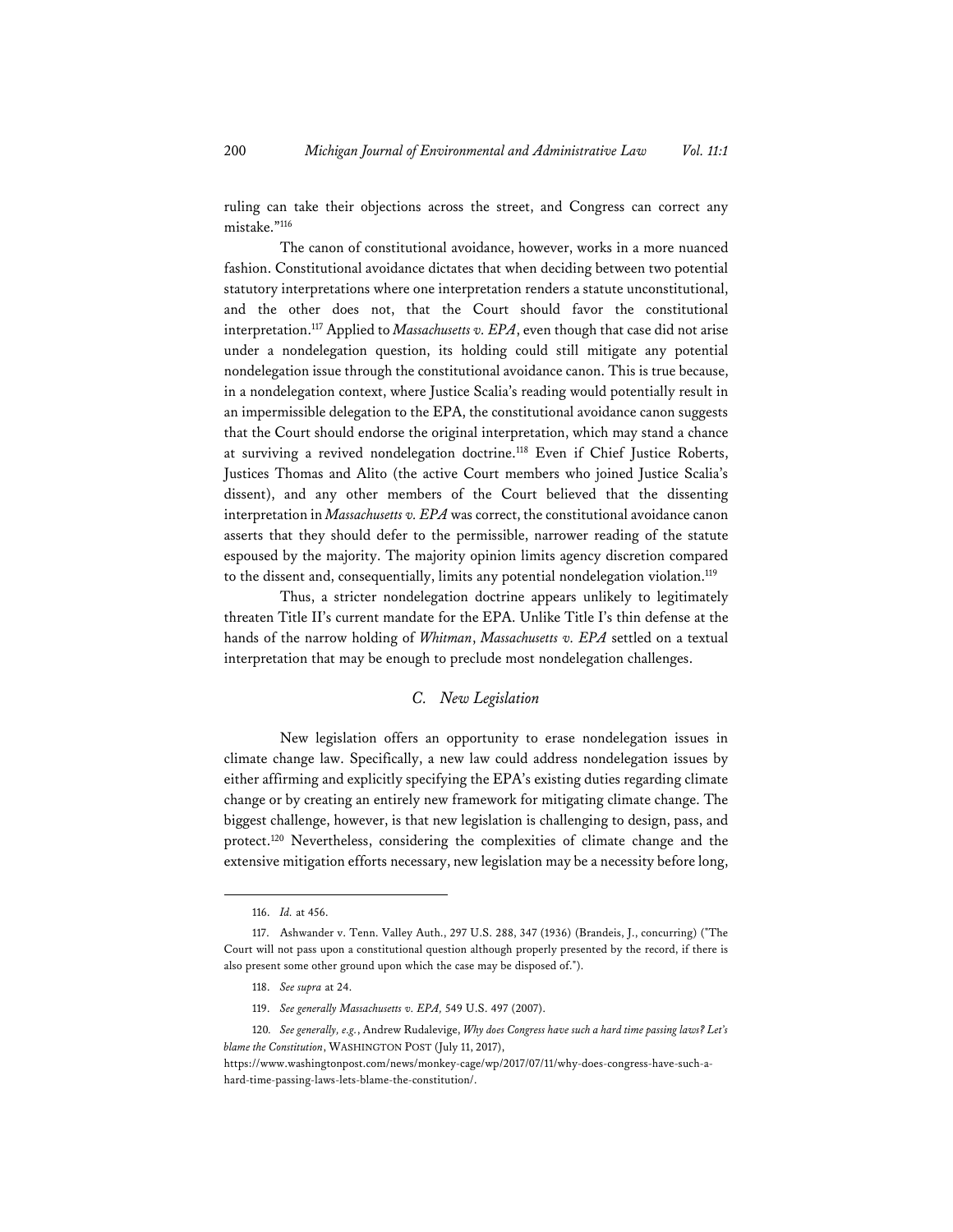ruling can take their objections across the street, and Congress can correct any mistake."116

The canon of constitutional avoidance, however, works in a more nuanced fashion. Constitutional avoidance dictates that when deciding between two potential statutory interpretations where one interpretation renders a statute unconstitutional, and the other does not, that the Court should favor the constitutional interpretation.117 Applied to *Massachusetts v. EPA*, even though that case did not arise under a nondelegation question, its holding could still mitigate any potential nondelegation issue through the constitutional avoidance canon. This is true because, in a nondelegation context, where Justice Scalia's reading would potentially result in an impermissible delegation to the EPA, the constitutional avoidance canon suggests that the Court should endorse the original interpretation, which may stand a chance at surviving a revived nondelegation doctrine.<sup>118</sup> Even if Chief Justice Roberts, Justices Thomas and Alito (the active Court members who joined Justice Scalia's dissent), and any other members of the Court believed that the dissenting interpretation in *Massachusetts v. EPA* was correct, the constitutional avoidance canon asserts that they should defer to the permissible, narrower reading of the statute espoused by the majority. The majority opinion limits agency discretion compared to the dissent and, consequentially, limits any potential nondelegation violation.<sup>119</sup>

Thus, a stricter nondelegation doctrine appears unlikely to legitimately threaten Title II's current mandate for the EPA. Unlike Title I's thin defense at the hands of the narrow holding of *Whitman*, *Massachusetts v. EPA* settled on a textual interpretation that may be enough to preclude most nondelegation challenges.

#### *C. New Legislation*

New legislation offers an opportunity to erase nondelegation issues in climate change law. Specifically, a new law could address nondelegation issues by either affirming and explicitly specifying the EPA's existing duties regarding climate change or by creating an entirely new framework for mitigating climate change. The biggest challenge, however, is that new legislation is challenging to design, pass, and protect.120 Nevertheless, considering the complexities of climate change and the extensive mitigation efforts necessary, new legislation may be a necessity before long,

<sup>116.</sup> *Id.* at 456.

<sup>117.</sup> Ashwander v. Tenn. Valley Auth., 297 U.S. 288, 347 (1936) (Brandeis, J., concurring) ("The Court will not pass upon a constitutional question although properly presented by the record, if there is also present some other ground upon which the case may be disposed of.").

<sup>118.</sup> *See supra* at 24.

<sup>119.</sup> *See generally Massachusetts v. EPA,* 549 U.S. 497 (2007).

<sup>120</sup>*. See generally, e.g.*, Andrew Rudalevige, *Why does Congress have such a hard time passing laws? Let's blame the Constitution*, WASHINGTON POST (July 11, 2017),

https://www.washingtonpost.com/news/monkey-cage/wp/2017/07/11/why-does-congress-have-such-ahard-time-passing-laws-lets-blame-the-constitution/.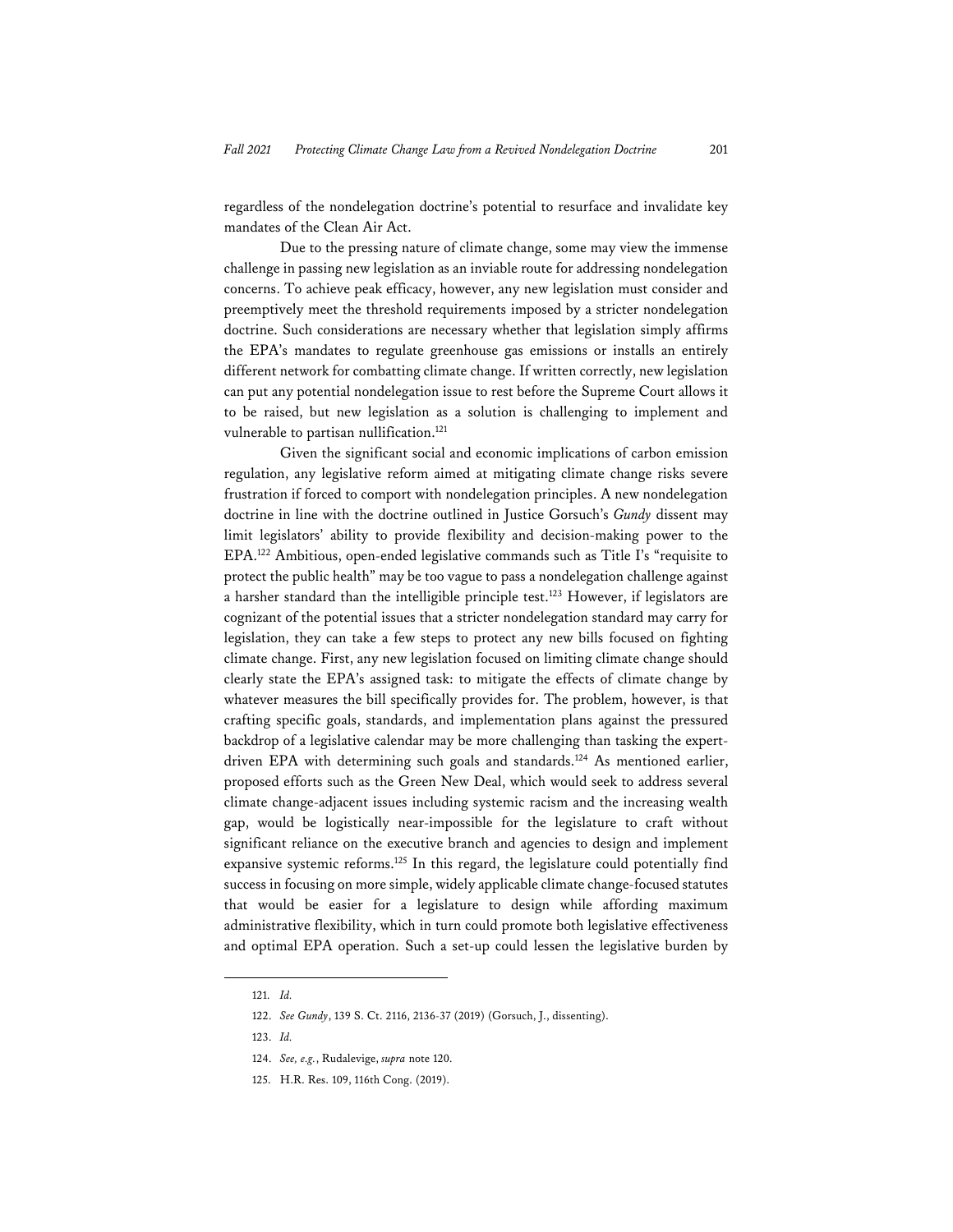regardless of the nondelegation doctrine's potential to resurface and invalidate key mandates of the Clean Air Act.

Due to the pressing nature of climate change, some may view the immense challenge in passing new legislation as an inviable route for addressing nondelegation concerns. To achieve peak efficacy, however, any new legislation must consider and preemptively meet the threshold requirements imposed by a stricter nondelegation doctrine. Such considerations are necessary whether that legislation simply affirms the EPA's mandates to regulate greenhouse gas emissions or installs an entirely different network for combatting climate change. If written correctly, new legislation can put any potential nondelegation issue to rest before the Supreme Court allows it to be raised, but new legislation as a solution is challenging to implement and vulnerable to partisan nullification.<sup>121</sup>

Given the significant social and economic implications of carbon emission regulation, any legislative reform aimed at mitigating climate change risks severe frustration if forced to comport with nondelegation principles. A new nondelegation doctrine in line with the doctrine outlined in Justice Gorsuch's *Gundy* dissent may limit legislators' ability to provide flexibility and decision-making power to the EPA.122 Ambitious, open-ended legislative commands such as Title I's "requisite to protect the public health" may be too vague to pass a nondelegation challenge against a harsher standard than the intelligible principle test.<sup>123</sup> However, if legislators are cognizant of the potential issues that a stricter nondelegation standard may carry for legislation, they can take a few steps to protect any new bills focused on fighting climate change. First, any new legislation focused on limiting climate change should clearly state the EPA's assigned task: to mitigate the effects of climate change by whatever measures the bill specifically provides for. The problem, however, is that crafting specific goals, standards, and implementation plans against the pressured backdrop of a legislative calendar may be more challenging than tasking the expertdriven EPA with determining such goals and standards.<sup>124</sup> As mentioned earlier, proposed efforts such as the Green New Deal, which would seek to address several climate change-adjacent issues including systemic racism and the increasing wealth gap, would be logistically near-impossible for the legislature to craft without significant reliance on the executive branch and agencies to design and implement expansive systemic reforms.125 In this regard, the legislature could potentially find success in focusing on more simple, widely applicable climate change-focused statutes that would be easier for a legislature to design while affording maximum administrative flexibility, which in turn could promote both legislative effectiveness and optimal EPA operation. Such a set-up could lessen the legislative burden by

<sup>121.</sup> *Id.*

<sup>122.</sup> *See Gundy*, 139 S. Ct. 2116, 2136-37 (2019) (Gorsuch, J., dissenting).

<sup>123.</sup> *Id.*

<sup>124.</sup> *See, e.g.*, Rudalevige, *supra* note 120.

<sup>125.</sup> H.R. Res. 109, 116th Cong. (2019).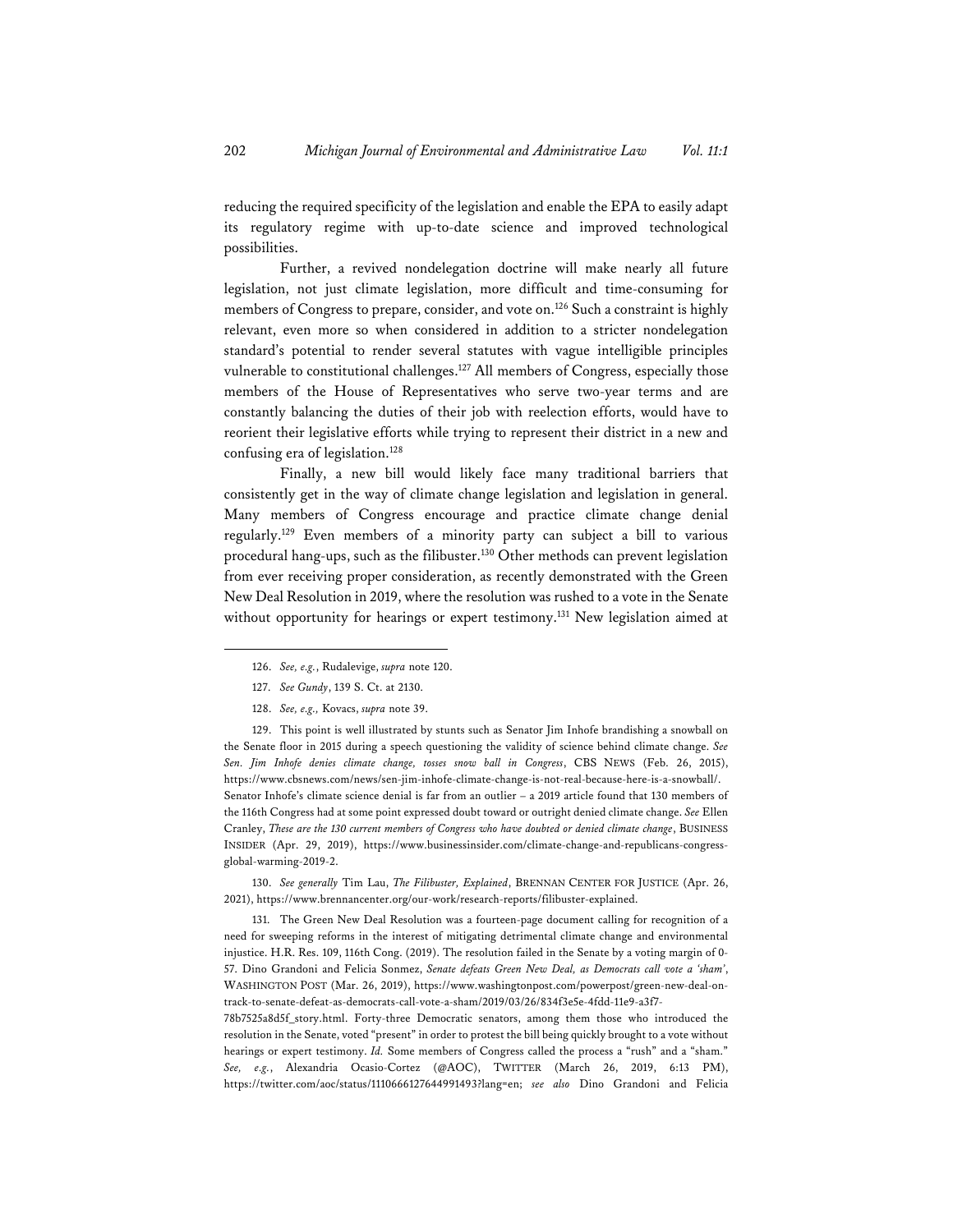reducing the required specificity of the legislation and enable the EPA to easily adapt its regulatory regime with up-to-date science and improved technological possibilities.

Further, a revived nondelegation doctrine will make nearly all future legislation, not just climate legislation, more difficult and time-consuming for members of Congress to prepare, consider, and vote on.126 Such a constraint is highly relevant, even more so when considered in addition to a stricter nondelegation standard's potential to render several statutes with vague intelligible principles vulnerable to constitutional challenges.<sup>127</sup> All members of Congress, especially those members of the House of Representatives who serve two-year terms and are constantly balancing the duties of their job with reelection efforts, would have to reorient their legislative efforts while trying to represent their district in a new and confusing era of legislation.128

Finally, a new bill would likely face many traditional barriers that consistently get in the way of climate change legislation and legislation in general. Many members of Congress encourage and practice climate change denial regularly.129 Even members of a minority party can subject a bill to various procedural hang-ups, such as the filibuster.130 Other methods can prevent legislation from ever receiving proper consideration, as recently demonstrated with the Green New Deal Resolution in 2019, where the resolution was rushed to a vote in the Senate without opportunity for hearings or expert testimony.<sup>131</sup> New legislation aimed at

129. This point is well illustrated by stunts such as Senator Jim Inhofe brandishing a snowball on the Senate floor in 2015 during a speech questioning the validity of science behind climate change. *See Sen. Jim Inhofe denies climate change, tosses snow ball in Congress*, CBS NEWS (Feb. 26, 2015), https://www.cbsnews.com/news/sen-jim-inhofe-climate-change-is-not-real-because-here-is-a-snowball/. Senator Inhofe's climate science denial is far from an outlier – a 2019 article found that 130 members of the 116th Congress had at some point expressed doubt toward or outright denied climate change. *See* Ellen Cranley, *These are the 130 current members of Congress who have doubted or denied climate change*, BUSINESS INSIDER (Apr. 29, 2019), https://www.businessinsider.com/climate-change-and-republicans-congressglobal-warming-2019-2.

130. *See generally* Tim Lau, *The Filibuster, Explained*, BRENNAN CENTER FOR JUSTICE (Apr. 26, 2021), https://www.brennancenter.org/our-work/research-reports/filibuster-explained.

131. The Green New Deal Resolution was a fourteen-page document calling for recognition of a need for sweeping reforms in the interest of mitigating detrimental climate change and environmental injustice. H.R. Res. 109, 116th Cong. (2019). The resolution failed in the Senate by a voting margin of 0- 57. Dino Grandoni and Felicia Sonmez, *Senate defeats Green New Deal, as Democrats call vote a 'sham'*, WASHINGTON POST (Mar. 26, 2019), https://www.washingtonpost.com/powerpost/green-new-deal-ontrack-to-senate-defeat-as-democrats-call-vote-a-sham/2019/03/26/834f3e5e-4fdd-11e9-a3f7-

78b7525a8d5f\_story.html. Forty-three Democratic senators, among them those who introduced the resolution in the Senate, voted "present" in order to protest the bill being quickly brought to a vote without hearings or expert testimony. *Id.* Some members of Congress called the process a "rush" and a "sham." *See, e.g.*, Alexandria Ocasio-Cortez (@AOC), TWITTER (March 26, 2019, 6:13 PM), https://twitter.com/aoc/status/1110666127644991493?lang=en; *see also* Dino Grandoni and Felicia

<sup>126.</sup> *See, e.g.*, Rudalevige, *supra* note 120.

<sup>127.</sup> *See Gundy*, 139 S. Ct. at 2130.

<sup>128.</sup> *See, e.g.,* Kovacs, *supra* note 39.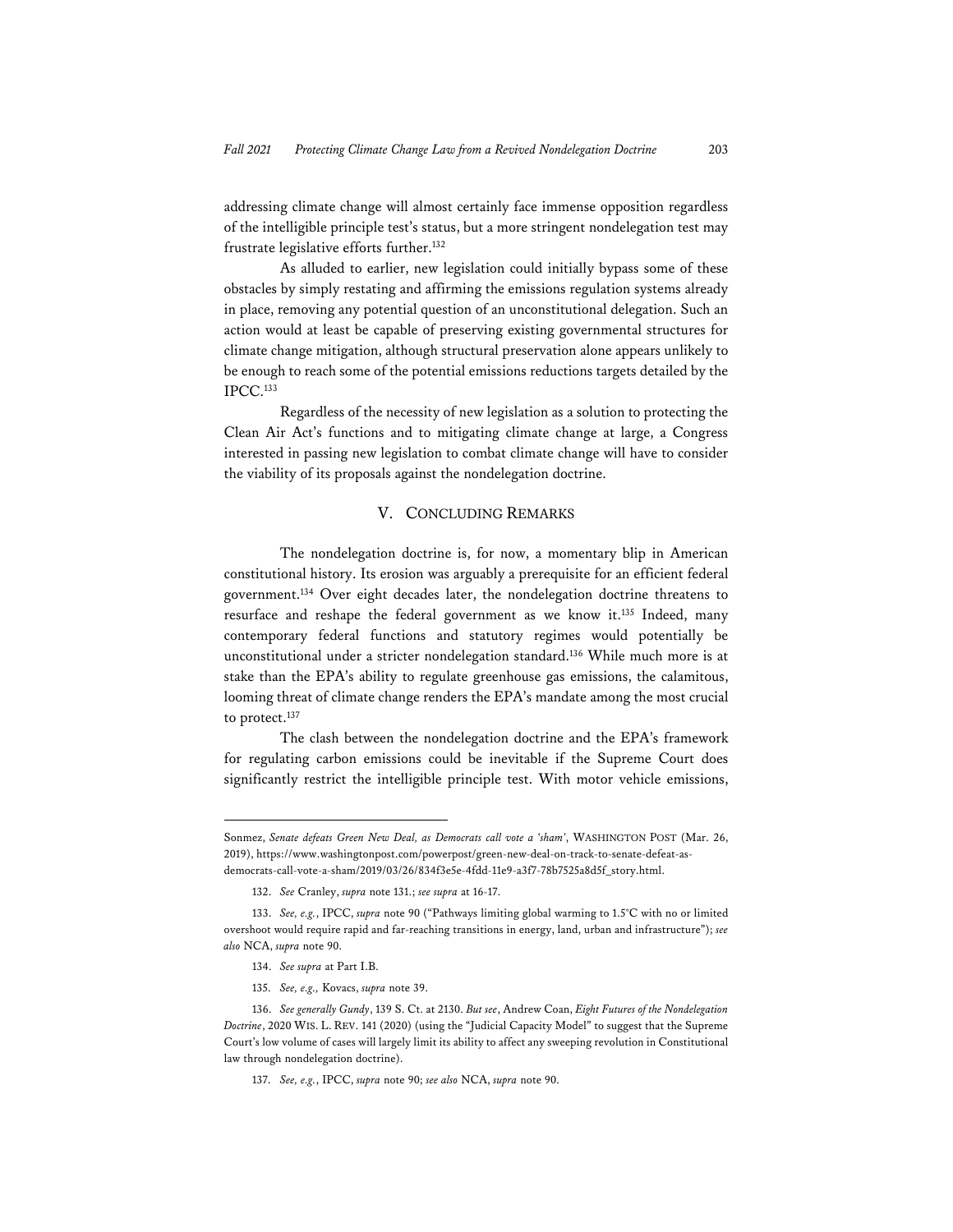addressing climate change will almost certainly face immense opposition regardless of the intelligible principle test's status, but a more stringent nondelegation test may frustrate legislative efforts further.<sup>132</sup>

As alluded to earlier, new legislation could initially bypass some of these obstacles by simply restating and affirming the emissions regulation systems already in place, removing any potential question of an unconstitutional delegation. Such an action would at least be capable of preserving existing governmental structures for climate change mitigation, although structural preservation alone appears unlikely to be enough to reach some of the potential emissions reductions targets detailed by the IPCC.133

Regardless of the necessity of new legislation as a solution to protecting the Clean Air Act's functions and to mitigating climate change at large, a Congress interested in passing new legislation to combat climate change will have to consider the viability of its proposals against the nondelegation doctrine.

#### V. CONCLUDING REMARKS

The nondelegation doctrine is, for now, a momentary blip in American constitutional history. Its erosion was arguably a prerequisite for an efficient federal government.134 Over eight decades later, the nondelegation doctrine threatens to resurface and reshape the federal government as we know it.135 Indeed, many contemporary federal functions and statutory regimes would potentially be unconstitutional under a stricter nondelegation standard.136 While much more is at stake than the EPA's ability to regulate greenhouse gas emissions, the calamitous, looming threat of climate change renders the EPA's mandate among the most crucial to protect.<sup>137</sup>

The clash between the nondelegation doctrine and the EPA's framework for regulating carbon emissions could be inevitable if the Supreme Court does significantly restrict the intelligible principle test. With motor vehicle emissions,

- 134. *See supra* at Part I.B.
- 135. *See, e.g.,* Kovacs, *supra* note 39.

137. *See, e.g.*, IPCC, *supra* note 90; *see also* NCA, *supra* note 90.

Sonmez, *Senate defeats Green New Deal, as Democrats call vote a 'sham'*, WASHINGTON POST (Mar. 26, 2019), https://www.washingtonpost.com/powerpost/green-new-deal-on-track-to-senate-defeat-asdemocrats-call-vote-a-sham/2019/03/26/834f3e5e-4fdd-11e9-a3f7-78b7525a8d5f\_story.html.

<sup>132.</sup> *See* Cranley, *supra* note 131.; *see supra* at 16-17.

<sup>133.</sup> *See, e.g.*, IPCC, *supra* note 90 ("Pathways limiting global warming to 1.5°C with no or limited overshoot would require rapid and far-reaching transitions in energy, land, urban and infrastructure"); *see also* NCA, *supra* note 90.

<sup>136.</sup> *See generally Gundy*, 139 S. Ct. at 2130. *But see*, Andrew Coan, *Eight Futures of the Nondelegation Doctrine*, 2020 WIS. L. REV. 141 (2020) (using the "Judicial Capacity Model" to suggest that the Supreme Court's low volume of cases will largely limit its ability to affect any sweeping revolution in Constitutional law through nondelegation doctrine).